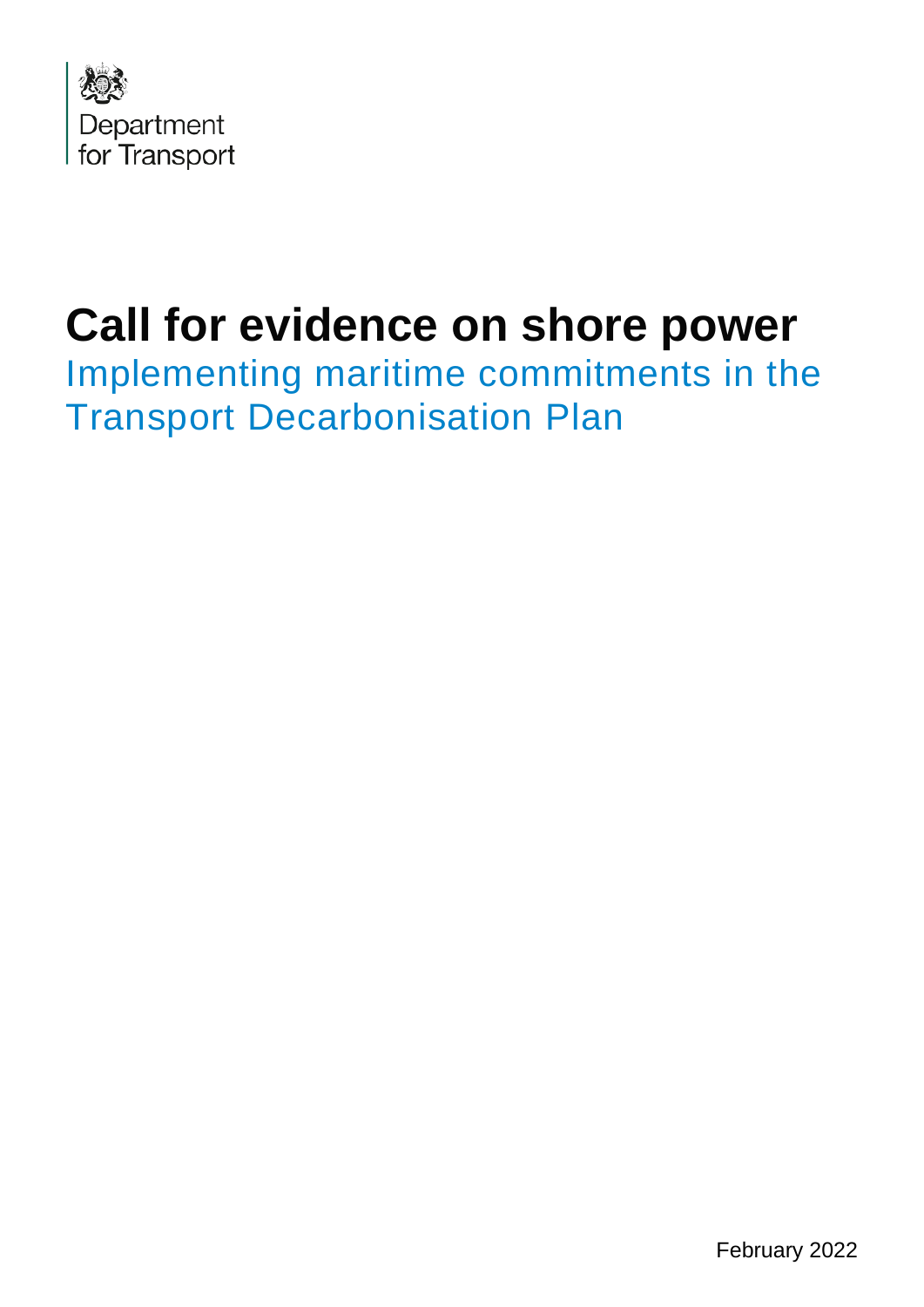

# **Call for evidence on shore power**

Implementing maritime commitments in the Transport Decarbonisation Plan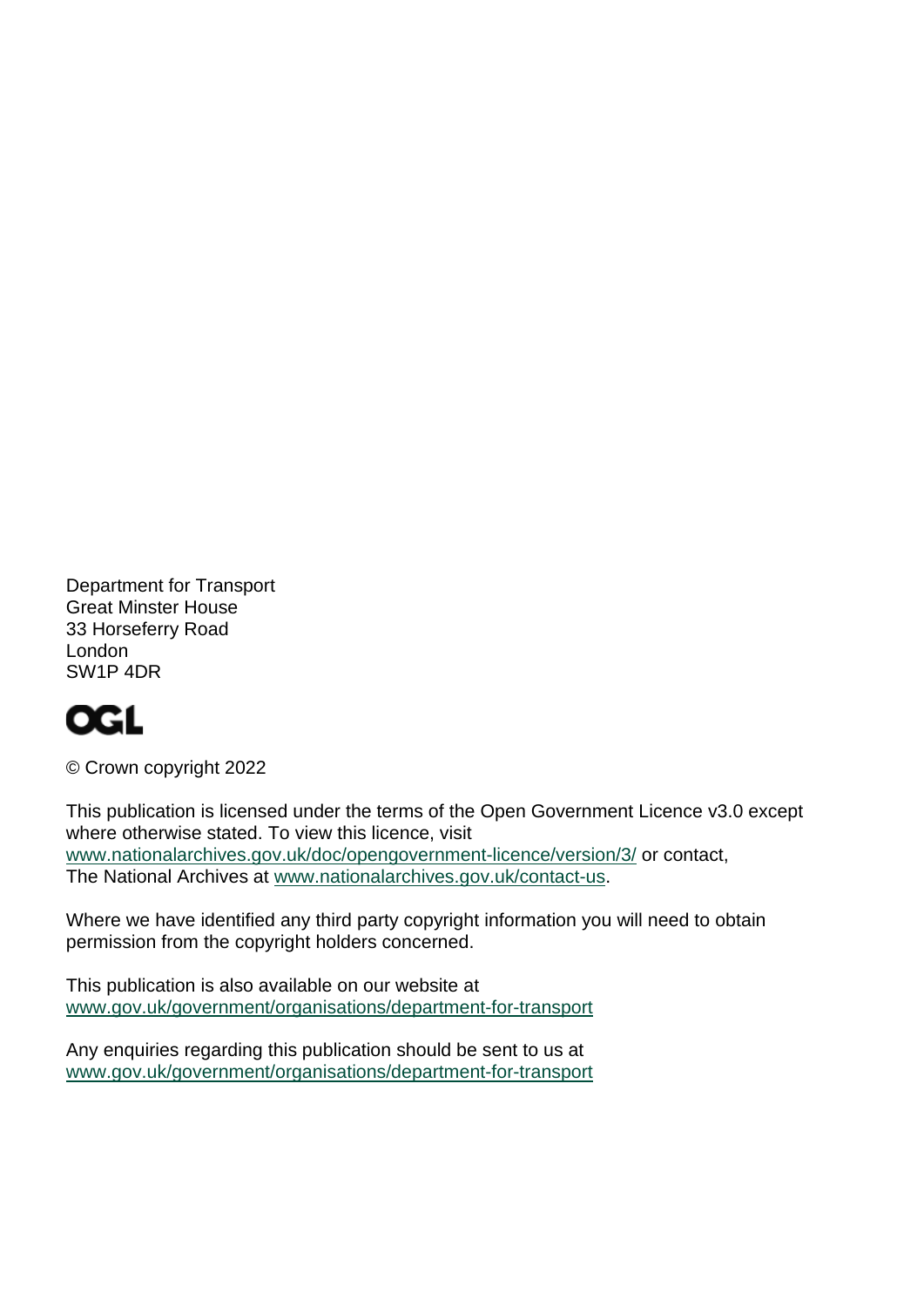Department for Transport Great Minster House 33 Horseferry Road London SW1P 4DR

## **OGL**

© Crown copyright 2022

This publication is licensed under the terms of the Open Government Licence v3.0 except where otherwise stated. To view this licence, visit [www.nationalarchives.gov.uk/doc/opengovernment-licence/version/3/](http://www.nationalarchives.gov.uk/doc/opengovernment-licence/version/3/) or contact, The National Archives at [www.nationalarchives.gov.uk/contact-us.](http://www.nationalarchives.gov.uk/contact-us)

Where we have identified any third party copyright information you will need to obtain permission from the copyright holders concerned.

This publication is also available on our website at [www.gov.uk/government/organisations/department-for-transport](http://www.gov.uk/government/organisations/department-for-transport)

Any enquiries regarding this publication should be sent to us at [www.gov.uk/government/organisations/department-for-transport](http://www.gov.uk/government/organisations/department-for-transport)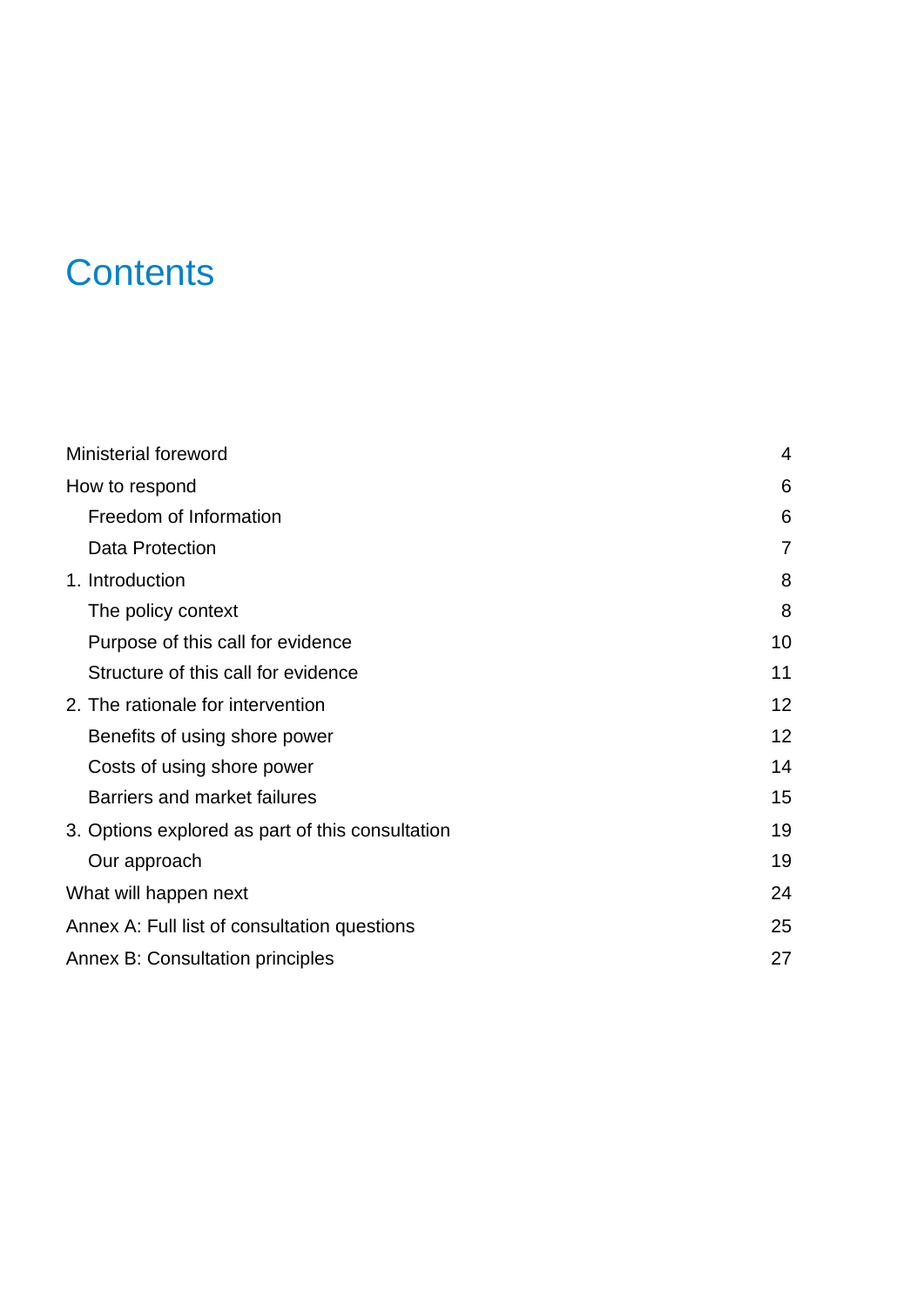## **Contents**

| <b>Ministerial foreword</b>                      | 4              |
|--------------------------------------------------|----------------|
| How to respond                                   | 6              |
| Freedom of Information                           | 6              |
| Data Protection                                  | $\overline{7}$ |
| 1. Introduction                                  | 8              |
| The policy context                               | 8              |
| Purpose of this call for evidence                | 10             |
| Structure of this call for evidence              | 11             |
| 2. The rationale for intervention                | 12             |
| Benefits of using shore power                    | 12             |
| Costs of using shore power                       | 14             |
| Barriers and market failures                     | 15             |
| 3. Options explored as part of this consultation | 19             |
| Our approach                                     | 19             |
| What will happen next                            | 24             |
| Annex A: Full list of consultation questions     | 25             |
| <b>Annex B: Consultation principles</b>          | 27             |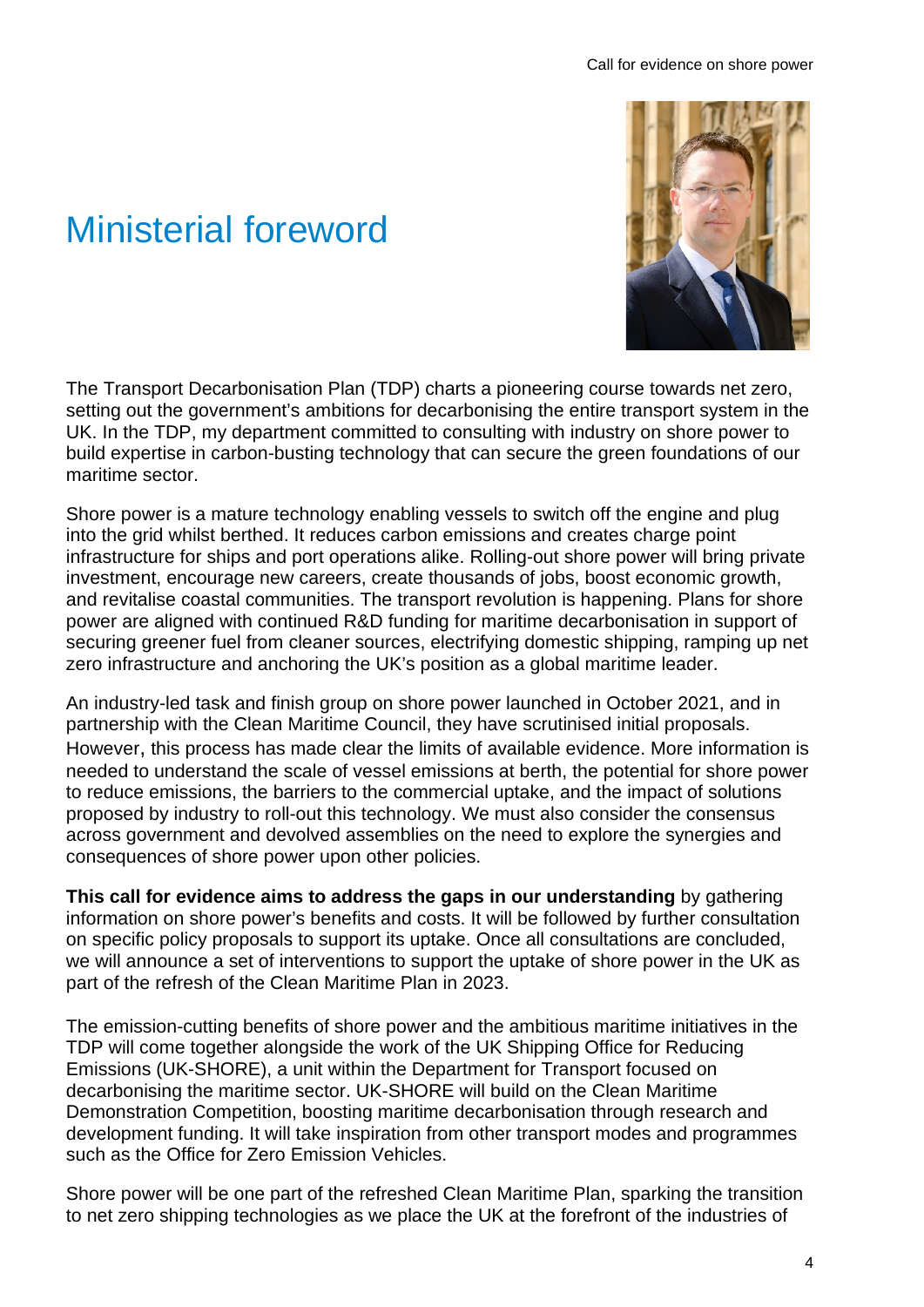## <span id="page-3-0"></span>Ministerial foreword



The Transport Decarbonisation Plan (TDP) charts a pioneering course towards net zero, setting out the government's ambitions for decarbonising the entire transport system in the UK. In the TDP, my department committed to consulting with industry on shore power to build expertise in carbon-busting technology that can secure the green foundations of our maritime sector.

Shore power is a mature technology enabling vessels to switch off the engine and plug into the grid whilst berthed. It reduces carbon emissions and creates charge point infrastructure for ships and port operations alike. Rolling-out shore power will bring private investment, encourage new careers, create thousands of jobs, boost economic growth, and revitalise coastal communities. The transport revolution is happening. Plans for shore power are aligned with continued R&D funding for maritime decarbonisation in support of securing greener fuel from cleaner sources, electrifying domestic shipping, ramping up net zero infrastructure and anchoring the UK's position as a global maritime leader.

An industry-led task and finish group on shore power launched in October 2021, and in partnership with the Clean Maritime Council, they have scrutinised initial proposals. However, this process has made clear the limits of available evidence. More information is needed to understand the scale of vessel emissions at berth, the potential for shore power to reduce emissions, the barriers to the commercial uptake, and the impact of solutions proposed by industry to roll-out this technology. We must also consider the consensus across government and devolved assemblies on the need to explore the synergies and consequences of shore power upon other policies.

**This call for evidence aims to address the gaps in our understanding** by gathering information on shore power's benefits and costs. It will be followed by further consultation on specific policy proposals to support its uptake. Once all consultations are concluded, we will announce a set of interventions to support the uptake of shore power in the UK as part of the refresh of the Clean Maritime Plan in 2023.

The emission-cutting benefits of shore power and the ambitious maritime initiatives in the TDP will come together alongside the work of the UK Shipping Office for Reducing Emissions (UK-SHORE), a unit within the Department for Transport focused on decarbonising the maritime sector. UK-SHORE will build on the Clean Maritime Demonstration Competition, boosting maritime decarbonisation through research and development funding. It will take inspiration from other transport modes and programmes such as the Office for Zero Emission Vehicles.

Shore power will be one part of the refreshed Clean Maritime Plan, sparking the transition to net zero shipping technologies as we place the UK at the forefront of the industries of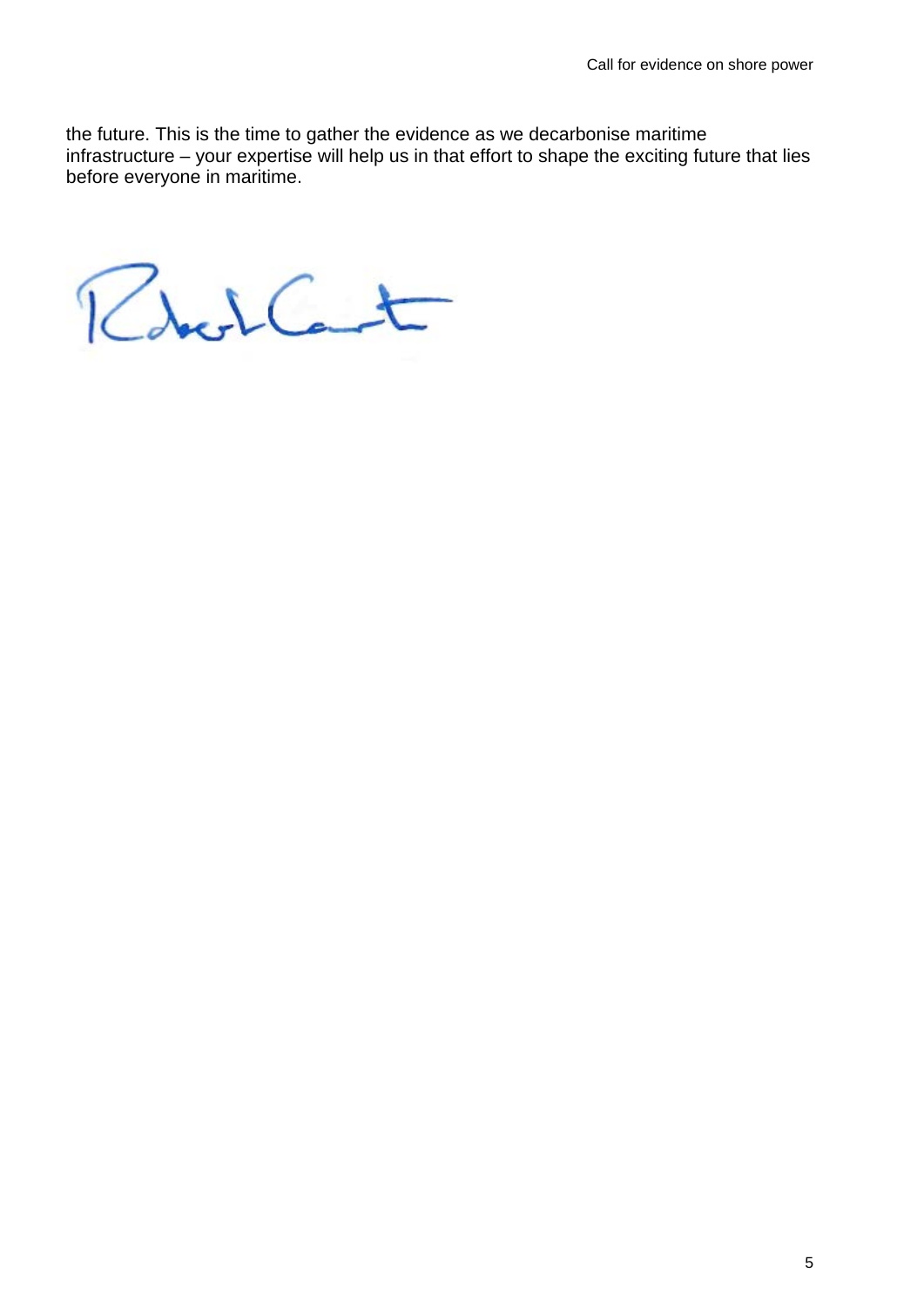the future. This is the time to gather the evidence as we decarbonise maritime infrastructure – your expertise will help us in that effort to shape the exciting future that lies before everyone in maritime.

Robert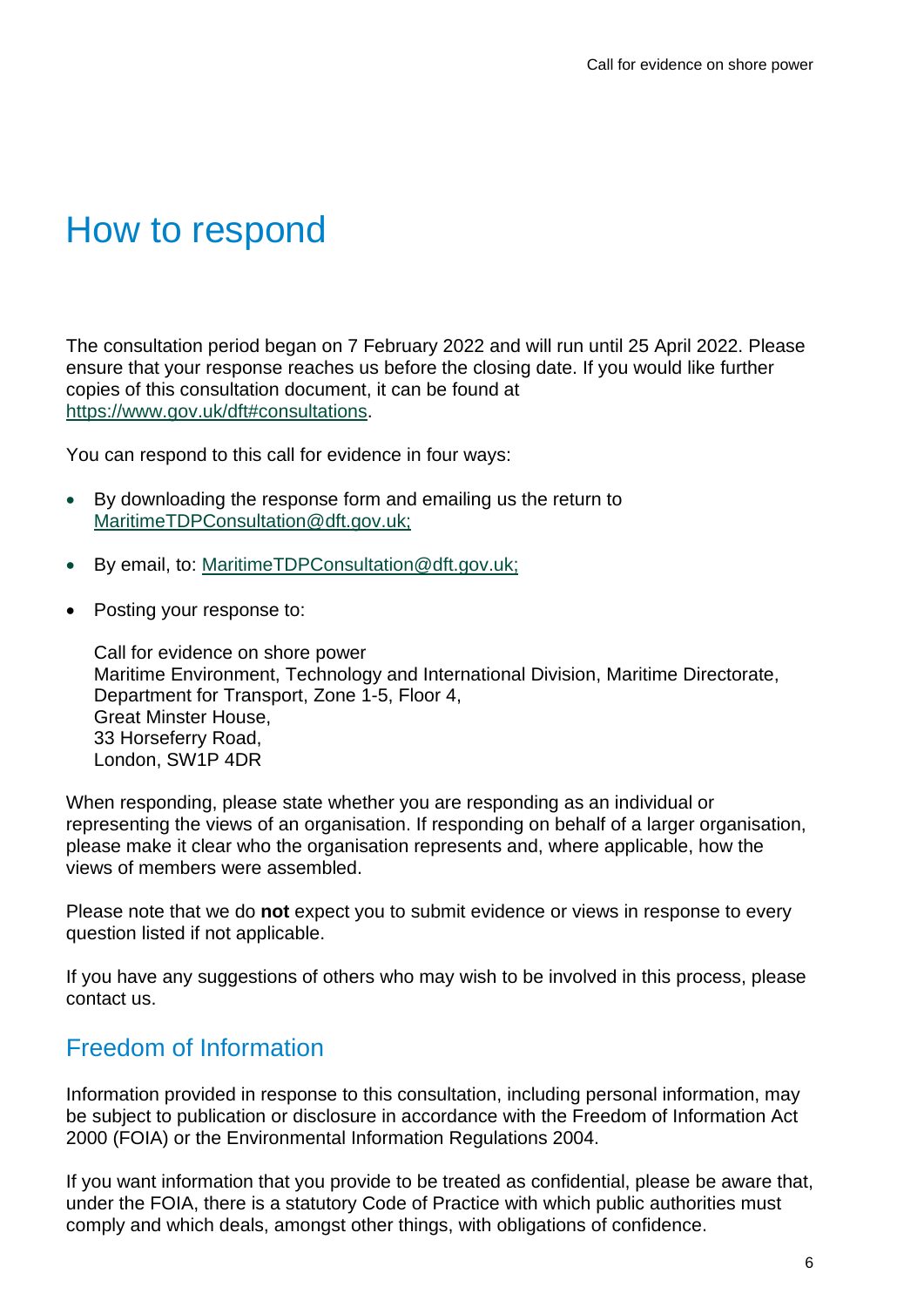## <span id="page-5-0"></span>How to respond

The consultation period began on 7 February 2022 and will run until 25 April 2022. Please ensure that your response reaches us before the closing date. If you would like further copies of this consultation document, it can be found at [https://www.gov.uk/dft#consultations.](https://www.gov.uk/dft#consultations)

You can respond to this call for evidence in four ways:

- By downloading the response form and emailing us the return to [MaritimeTDPConsultation@dft.gov.uk;](mailto:MaritimeTDPConsultation@dft.gov.uk)
- By email, to: [MaritimeTDPConsultation@dft.gov.uk;](mailto:MaritimeTDPConsultation@dft.gov.uk)
- Posting your response to:

Call for evidence on shore power Maritime Environment, Technology and International Division, Maritime Directorate, Department for Transport, Zone 1-5, Floor 4, Great Minster House, 33 Horseferry Road, London, SW1P 4DR

When responding, please state whether you are responding as an individual or representing the views of an organisation. If responding on behalf of a larger organisation, please make it clear who the organisation represents and, where applicable, how the views of members were assembled.

Please note that we do **not** expect you to submit evidence or views in response to every question listed if not applicable.

If you have any suggestions of others who may wish to be involved in this process, please contact us.

### <span id="page-5-1"></span>Freedom of Information

Information provided in response to this consultation, including personal information, may be subject to publication or disclosure in accordance with the Freedom of Information Act 2000 (FOIA) or the Environmental Information Regulations 2004.

If you want information that you provide to be treated as confidential, please be aware that, under the FOIA, there is a statutory Code of Practice with which public authorities must comply and which deals, amongst other things, with obligations of confidence.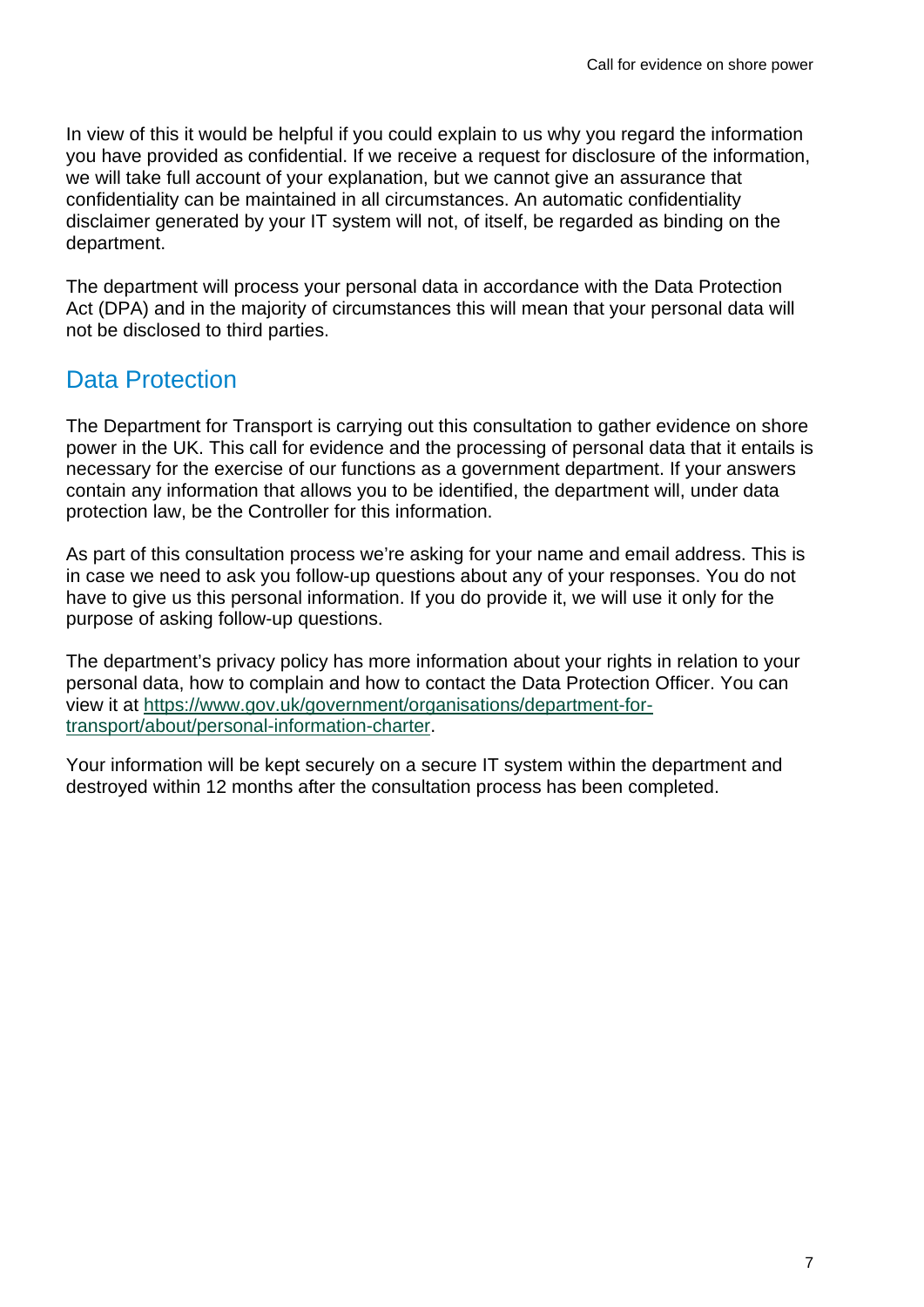In view of this it would be helpful if you could explain to us why you regard the information you have provided as confidential. If we receive a request for disclosure of the information, we will take full account of your explanation, but we cannot give an assurance that confidentiality can be maintained in all circumstances. An automatic confidentiality disclaimer generated by your IT system will not, of itself, be regarded as binding on the department.

The department will process your personal data in accordance with the Data Protection Act (DPA) and in the majority of circumstances this will mean that your personal data will not be disclosed to third parties.

### <span id="page-6-0"></span>Data Protection

The Department for Transport is carrying out this consultation to gather evidence on shore power in the UK. This call for evidence and the processing of personal data that it entails is necessary for the exercise of our functions as a government department. If your answers contain any information that allows you to be identified, the department will, under data protection law, be the Controller for this information.

As part of this consultation process we're asking for your name and email address. This is in case we need to ask you follow-up questions about any of your responses. You do not have to give us this personal information. If you do provide it, we will use it only for the purpose of asking follow-up questions.

The department's privacy policy has more information about your rights in relation to your personal data, how to complain and how to contact the Data Protection Officer. You can view it at [https://www.gov.uk/government/organisations/department-for](https://www.gov.uk/government/organisations/department-for-transport/about/personal-information-charter)[transport/about/personal-information-charter.](https://www.gov.uk/government/organisations/department-for-transport/about/personal-information-charter)

Your information will be kept securely on a secure IT system within the department and destroyed within 12 months after the consultation process has been completed.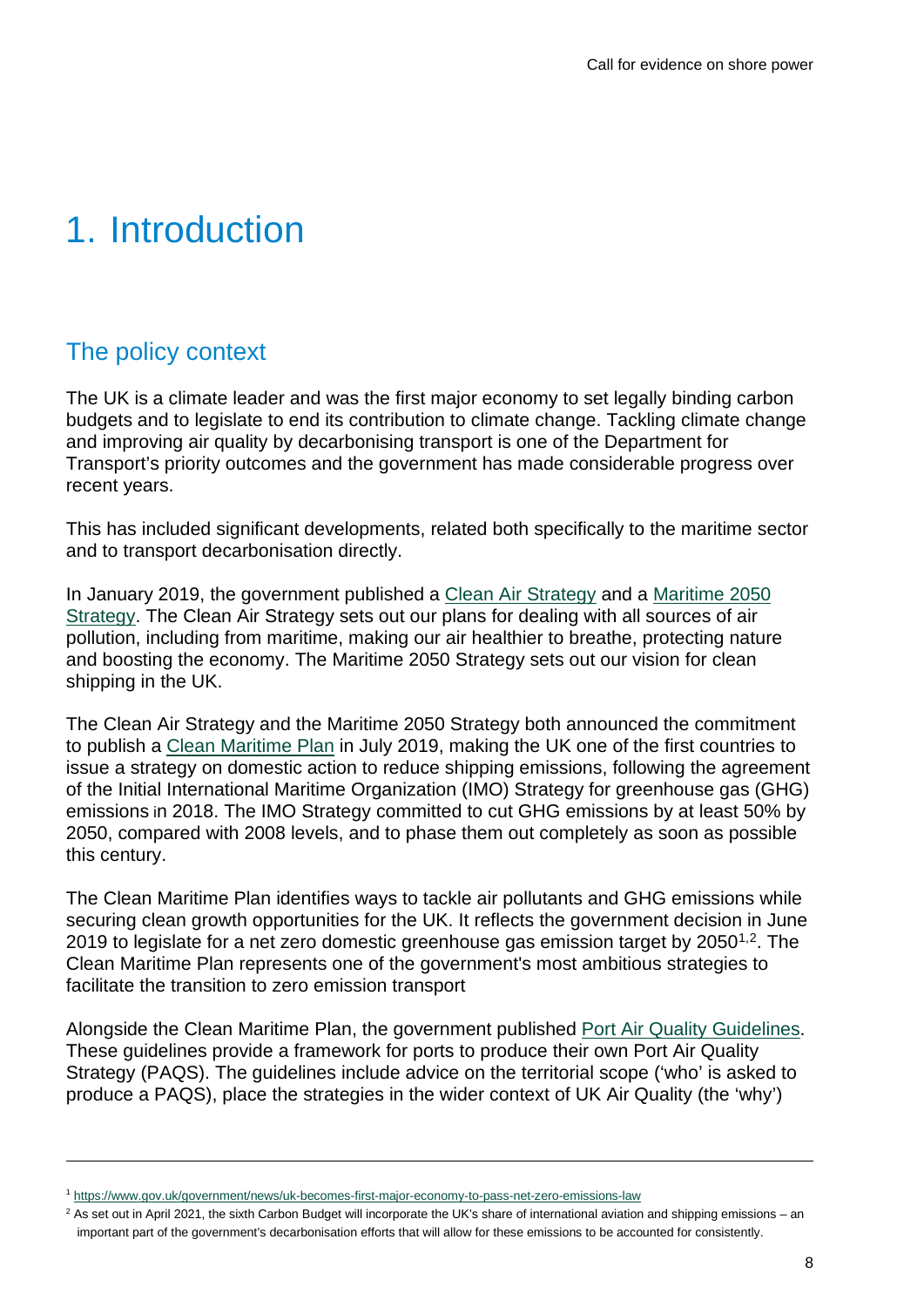## <span id="page-7-0"></span>1. Introduction

### <span id="page-7-1"></span>The policy context

The UK is a climate leader and was the first major economy to set legally binding carbon budgets and to legislate to end its contribution to climate change. Tackling climate change and improving air quality by decarbonising transport is one of the Department for Transport's priority outcomes and the government has made considerable progress over recent years.

This has included significant developments, related both specifically to the maritime sector and to transport decarbonisation directly.

In January 2019, the government published a [Clean Air Strategy](https://www.gov.uk/government/publications/clean-air-strategy-2019) and a [Maritime 2050](https://www.gov.uk/government/publications/maritime-2050-navigating-the-future)  [Strategy.](https://www.gov.uk/government/publications/maritime-2050-navigating-the-future) The Clean Air Strategy sets out our plans for dealing with all sources of air pollution, including from maritime, making our air healthier to breathe, protecting nature and boosting the economy. The Maritime 2050 Strategy sets out our vision for clean shipping in the UK.

The Clean Air Strategy and the Maritime 2050 Strategy both announced the commitment to publish a [Clean Maritime Plan](https://assets.publishing.service.gov.uk/government/uploads/system/uploads/attachment_data/file/815664/clean-maritime-plan.pdf) in July 2019, making the UK one of the first countries to issue a strategy on domestic action to reduce shipping emissions, following the agreement of the Initial International Maritime Organization (IMO) Strategy for greenhouse gas (GHG) emissions in 2018. The IMO Strategy committed to cut GHG emissions by at least 50% by 2050, compared with 2008 levels, and to phase them out completely as soon as possible this century.

The Clean Maritime Plan identifies ways to tackle air pollutants and GHG emissions while securing clean growth opportunities for the UK. It reflects the government decision in June 2019 to legislate for a net zero domestic greenhouse gas emission target by  $2050^{1,2}$  $2050^{1,2}$  $2050^{1,2}$ . The Clean Maritime Plan represents one of the government's most ambitious strategies to facilitate the transition to zero emission transport

Alongside the Clean Maritime Plan, the government published [Port Air Quality Guidelines.](https://assets.publishing.service.gov.uk/government/uploads/system/uploads/attachment_data/file/815665/port-air-quality-strategies.pdf) These guidelines provide a framework for ports to produce their own Port Air Quality Strategy (PAQS). The guidelines include advice on the territorial scope ('who' is asked to produce a PAQS), place the strategies in the wider context of UK Air Quality (the 'why')

<span id="page-7-2"></span><sup>1</sup> <https://www.gov.uk/government/news/uk-becomes-first-major-economy-to-pass-net-zero-emissions-law>

<span id="page-7-3"></span><sup>&</sup>lt;sup>2</sup> As set out in April 2021, the sixth Carbon Budget will incorporate the UK's share of international aviation and shipping emissions – an important part of the government's decarbonisation efforts that will allow for these emissions to be accounted for consistently.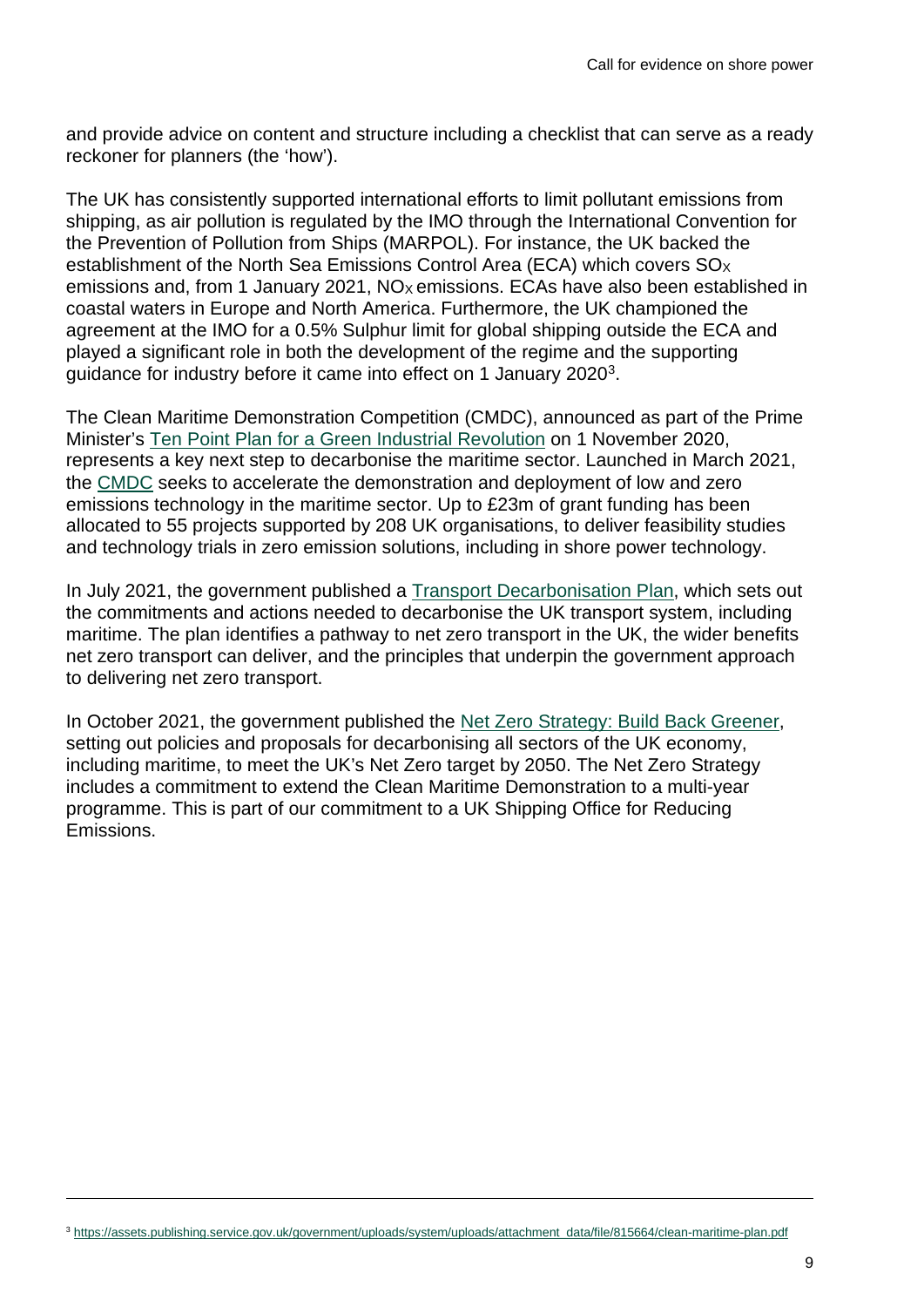and provide advice on content and structure including a checklist that can serve as a ready reckoner for planners (the 'how').

The UK has consistently supported international efforts to limit pollutant emissions from shipping, as air pollution is regulated by the IMO through the International Convention for the Prevention of Pollution from Ships (MARPOL). For instance, the UK backed the establishment of the North Sea Emissions Control Area (ECA) which covers SO<sub>x</sub> emissions and, from 1 January 2021,  $NO<sub>X</sub>$  emissions. ECAs have also been established in coastal waters in Europe and North America. Furthermore, the UK championed the agreement at the IMO for a 0.5% Sulphur limit for global shipping outside the ECA and played a significant role in both the development of the regime and the supporting guidance for industry before it came into effect on 1 January 2020[3.](#page-8-0)

The Clean Maritime Demonstration Competition (CMDC), announced as part of the Prime Minister's [Ten Point Plan for a Green](https://www.gov.uk/government/news/pm-outlines-his-ten-point-plan-for-a-green-industrial-revolution-for-250000-jobs) Industrial Revolution on 1 November 2020, represents a key next step to decarbonise the maritime sector. Launched in March 2021, the [CMDC](https://www.gov.uk/government/publications/clean-maritime-demonstration-competition-cmdc) seeks to accelerate the demonstration and deployment of low and zero emissions technology in the maritime sector. Up to £23m of grant funding has been allocated to 55 projects supported by 208 UK organisations, to deliver feasibility studies and technology trials in zero emission solutions, including in shore power technology.

In July 2021, the government published a [Transport Decarbonisation Plan,](https://www.gov.uk/government/publications/transport-decarbonisation-plan) which sets out the commitments and actions needed to decarbonise the UK transport system, including maritime. The plan identifies a pathway to net zero transport in the UK, the wider benefits net zero transport can deliver, and the principles that underpin the government approach to delivering net zero transport.

<span id="page-8-0"></span>In October 2021, the government published the [Net Zero Strategy: Build Back Greener,](https://www.gov.uk/government/publications/net-zero-strategy) setting out policies and proposals for decarbonising all sectors of the UK economy, including maritime, to meet the UK's Net Zero target by 2050. The Net Zero Strategy includes a commitment to extend the Clean Maritime Demonstration to a multi-year programme. This is part of our commitment to a UK Shipping Office for Reducing Emissions.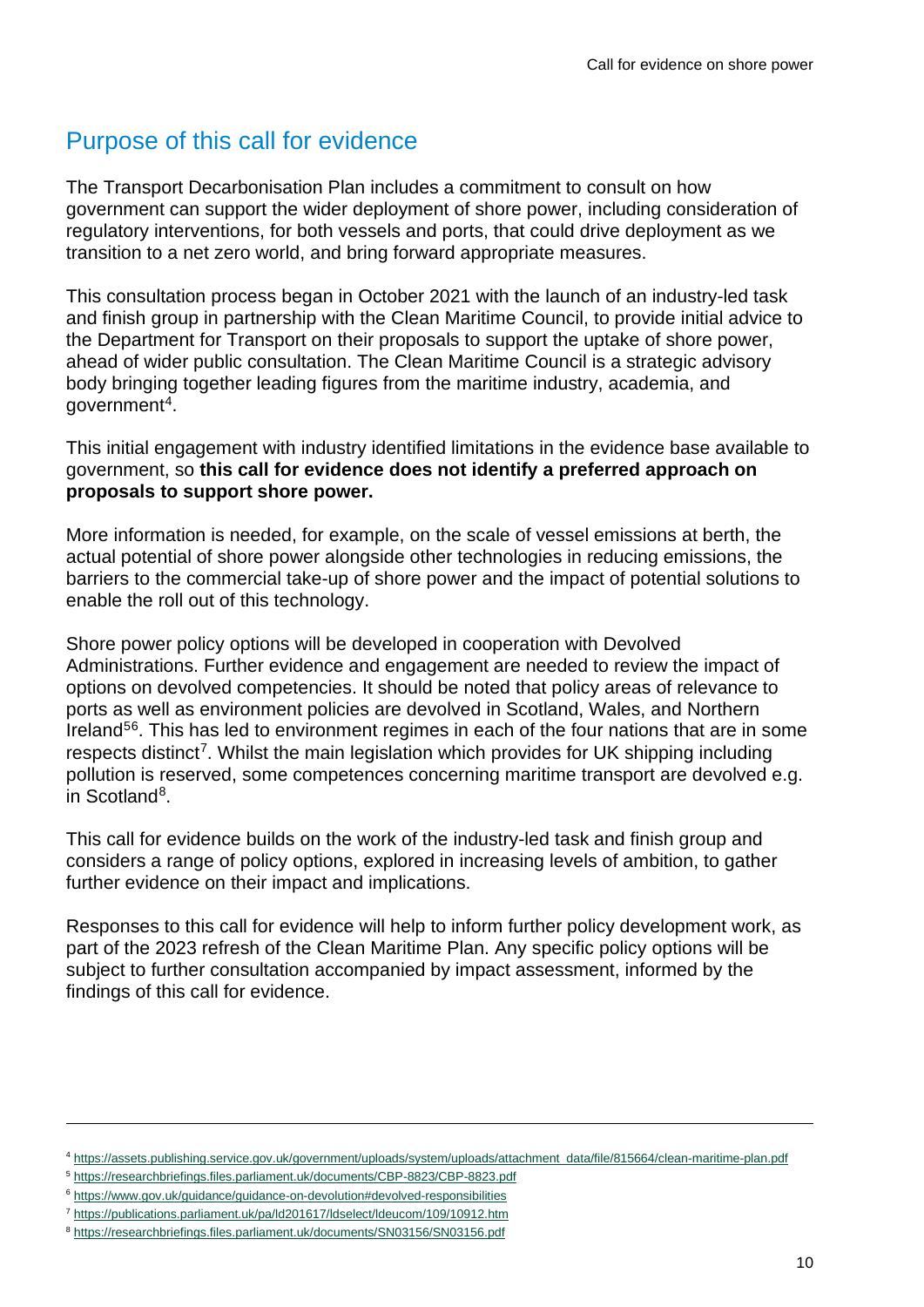### <span id="page-9-0"></span>Purpose of this call for evidence

The Transport Decarbonisation Plan includes a commitment to consult on how government can support the wider deployment of shore power, including consideration of regulatory interventions, for both vessels and ports, that could drive deployment as we transition to a net zero world, and bring forward appropriate measures.

This consultation process began in October 2021 with the launch of an industry-led task and finish group in partnership with the Clean Maritime Council, to provide initial advice to the Department for Transport on their proposals to support the uptake of shore power, ahead of wider public consultation. The Clean Maritime Council is a strategic advisory body bringing together leading figures from the maritime industry, academia, and governmen[t4.](#page-9-1)

This initial engagement with industry identified limitations in the evidence base available to government, so **this call for evidence does not identify a preferred approach on proposals to support shore power.** 

More information is needed, for example, on the scale of vessel emissions at berth, the actual potential of shore power alongside other technologies in reducing emissions, the barriers to the commercial take-up of shore power and the impact of potential solutions to enable the roll out of this technology.

Shore power policy options will be developed in cooperation with Devolved Administrations. Further evidence and engagement are needed to review the impact of options on devolved competencies. It should be noted that policy areas of relevance to ports as well as environment policies are devolved in Scotland, Wales, and Northern Ireland<sup>[5](#page-9-2)[6](#page-9-3)</sup>. This has led to environment regimes in each of the four nations that are in some respects distinct<sup>7</sup>. Whilst the main legislation which provides for UK shipping including pollution is reserved, some competences concerning maritime transport are devolved e.g. in Scotlan[d8.](#page-9-5)

This call for evidence builds on the work of the industry-led task and finish group and considers a range of policy options, explored in increasing levels of ambition, to gather further evidence on their impact and implications.

Responses to this call for evidence will help to inform further policy development work, as part of the 2023 refresh of the Clean Maritime Plan. Any specific policy options will be subject to further consultation accompanied by impact assessment, informed by the findings of this call for evidence.

<span id="page-9-1"></span><sup>4</sup> [https://assets.publishing.service.gov.uk/government/uploads/system/uploads/attachment\\_data/file/815664/clean-maritime-plan.pdf](https://assets.publishing.service.gov.uk/government/uploads/system/uploads/attachment_data/file/815664/clean-maritime-plan.pdf)

<span id="page-9-2"></span><sup>5</sup> <https://researchbriefings.files.parliament.uk/documents/CBP-8823/CBP-8823.pdf>

<span id="page-9-3"></span><sup>6</sup> <https://www.gov.uk/guidance/guidance-on-devolution#devolved-responsibilities>

<span id="page-9-4"></span><sup>7</sup> <https://publications.parliament.uk/pa/ld201617/ldselect/ldeucom/109/10912.htm>

<span id="page-9-5"></span><sup>8</sup> <https://researchbriefings.files.parliament.uk/documents/SN03156/SN03156.pdf>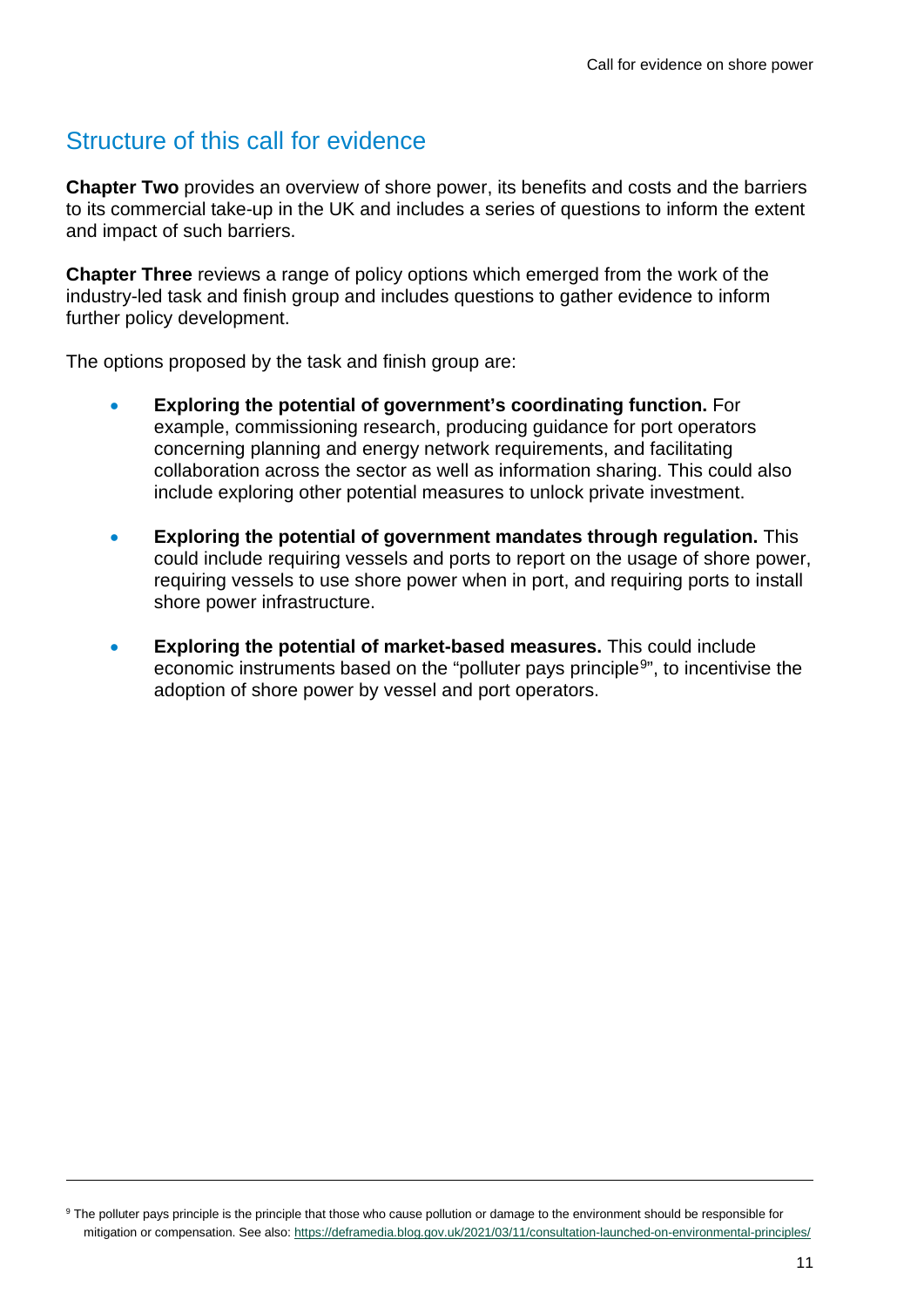### <span id="page-10-0"></span>Structure of this call for evidence

**Chapter Two** provides an overview of shore power, its benefits and costs and the barriers to its commercial take-up in the UK and includes a series of questions to inform the extent and impact of such barriers.

**Chapter Three** reviews a range of policy options which emerged from the work of the industry-led task and finish group and includes questions to gather evidence to inform further policy development.

The options proposed by the task and finish group are:

- **Exploring the potential of government's coordinating function.** For example, commissioning research, producing guidance for port operators concerning planning and energy network requirements, and facilitating collaboration across the sector as well as information sharing. This could also include exploring other potential measures to unlock private investment.
- **Exploring the potential of government mandates through regulation.** This could include requiring vessels and ports to report on the usage of shore power, requiring vessels to use shore power when in port, and requiring ports to install shore power infrastructure.
- **Exploring the potential of market-based measures.** This could include economic instruments based on the "polluter pays principle<sup>[9](#page-10-1)</sup>", to incentivise the adoption of shore power by vessel and port operators.

<span id="page-10-1"></span><sup>&</sup>lt;sup>9</sup> The polluter pays principle is the principle that those who cause pollution or damage to the environment should be responsible for mitigation or compensation. See also: <https://deframedia.blog.gov.uk/2021/03/11/consultation-launched-on-environmental-principles/>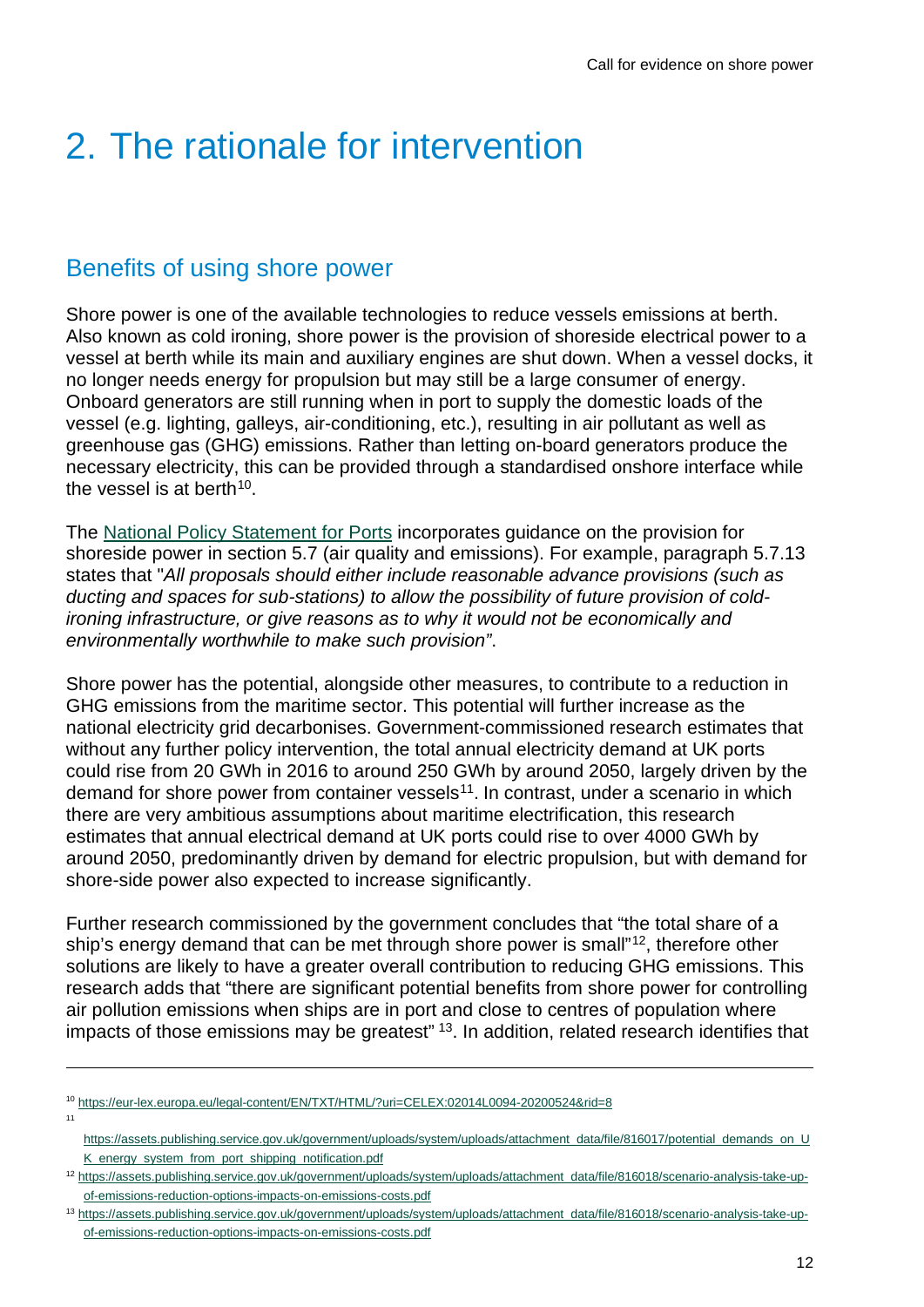## <span id="page-11-0"></span>2. The rationale for intervention

### <span id="page-11-1"></span>Benefits of using shore power

Shore power is one of the available technologies to reduce vessels emissions at berth. Also known as cold ironing, shore power is the provision of shoreside electrical power to a vessel at berth while its main and auxiliary engines are shut down. When a vessel docks, it no longer needs energy for propulsion but may still be a large consumer of energy. Onboard generators are still running when in port to supply the domestic loads of the vessel (e.g. lighting, galleys, air-conditioning, etc.), resulting in air pollutant as well as greenhouse gas (GHG) emissions. Rather than letting on-board generators produce the necessary electricity, this can be provided through a standardised onshore interface while the vessel is at berth<sup>[10](#page-11-2)</sup>

The [National Policy Statement for Ports](https://www.gov.uk/government/publications/national-policy-statement-for-ports) incorporates guidance on the provision for shoreside power in section 5.7 (air quality and emissions). For example, paragraph 5.7.13 states that "*All proposals should either include reasonable advance provisions (such as ducting and spaces for sub-stations) to allow the possibility of future provision of coldironing infrastructure, or give reasons as to why it would not be economically and environmentally worthwhile to make such provision"*.

Shore power has the potential, alongside other measures, to contribute to a reduction in GHG emissions from the maritime sector. This potential will further increase as the national electricity grid decarbonises. Government-commissioned research estimates that without any further policy intervention, the total annual electricity demand at UK ports could rise from 20 GWh in 2016 to around 250 GWh by around 2050, largely driven by the demand for shore power from container vessels<sup>[11](#page-11-3)</sup>. In contrast, under a scenario in which there are very ambitious assumptions about maritime electrification, this research estimates that annual electrical demand at UK ports could rise to over 4000 GWh by around 2050, predominantly driven by demand for electric propulsion, but with demand for shore-side power also expected to increase significantly.

Further research commissioned by the government concludes that "the total share of a ship's energy demand that can be met through shore power is small"<sup>[12](#page-11-4)</sup>, therefore other solutions are likely to have a greater overall contribution to reducing GHG emissions. This research adds that "there are significant potential benefits from shore power for controlling air pollution emissions when ships are in port and close to centres of population where impacts of those emissions may be greatest" <sup>13</sup>. In addition, related research identifies that

<span id="page-11-3"></span>11

<span id="page-11-2"></span><sup>10</sup> <https://eur-lex.europa.eu/legal-content/EN/TXT/HTML/?uri=CELEX:02014L0094-20200524&rid=8>

[https://assets.publishing.service.gov.uk/government/uploads/system/uploads/attachment\\_data/file/816017/potential\\_demands\\_on\\_U](https://assets.publishing.service.gov.uk/government/uploads/system/uploads/attachment_data/file/816017/potential_demands_on_UK_energy_system_from_port_shipping_notification.pdf) [K\\_energy\\_system\\_from\\_port\\_shipping\\_notification.pdf](https://assets.publishing.service.gov.uk/government/uploads/system/uploads/attachment_data/file/816017/potential_demands_on_UK_energy_system_from_port_shipping_notification.pdf)

<span id="page-11-4"></span><sup>12</sup> [https://assets.publishing.service.gov.uk/government/uploads/system/uploads/attachment\\_data/file/816018/scenario-analysis-take-up](https://assets.publishing.service.gov.uk/government/uploads/system/uploads/attachment_data/file/816018/scenario-analysis-take-up-of-emissions-reduction-options-impacts-on-emissions-costs.pdf)[of-emissions-reduction-options-impacts-on-emissions-costs.pdf](https://assets.publishing.service.gov.uk/government/uploads/system/uploads/attachment_data/file/816018/scenario-analysis-take-up-of-emissions-reduction-options-impacts-on-emissions-costs.pdf)

<span id="page-11-5"></span><sup>13</sup> [https://assets.publishing.service.gov.uk/government/uploads/system/uploads/attachment\\_data/file/816018/scenario-analysis-take-up](https://assets.publishing.service.gov.uk/government/uploads/system/uploads/attachment_data/file/816018/scenario-analysis-take-up-of-emissions-reduction-options-impacts-on-emissions-costs.pdf)[of-emissions-reduction-options-impacts-on-emissions-costs.pdf](https://assets.publishing.service.gov.uk/government/uploads/system/uploads/attachment_data/file/816018/scenario-analysis-take-up-of-emissions-reduction-options-impacts-on-emissions-costs.pdf)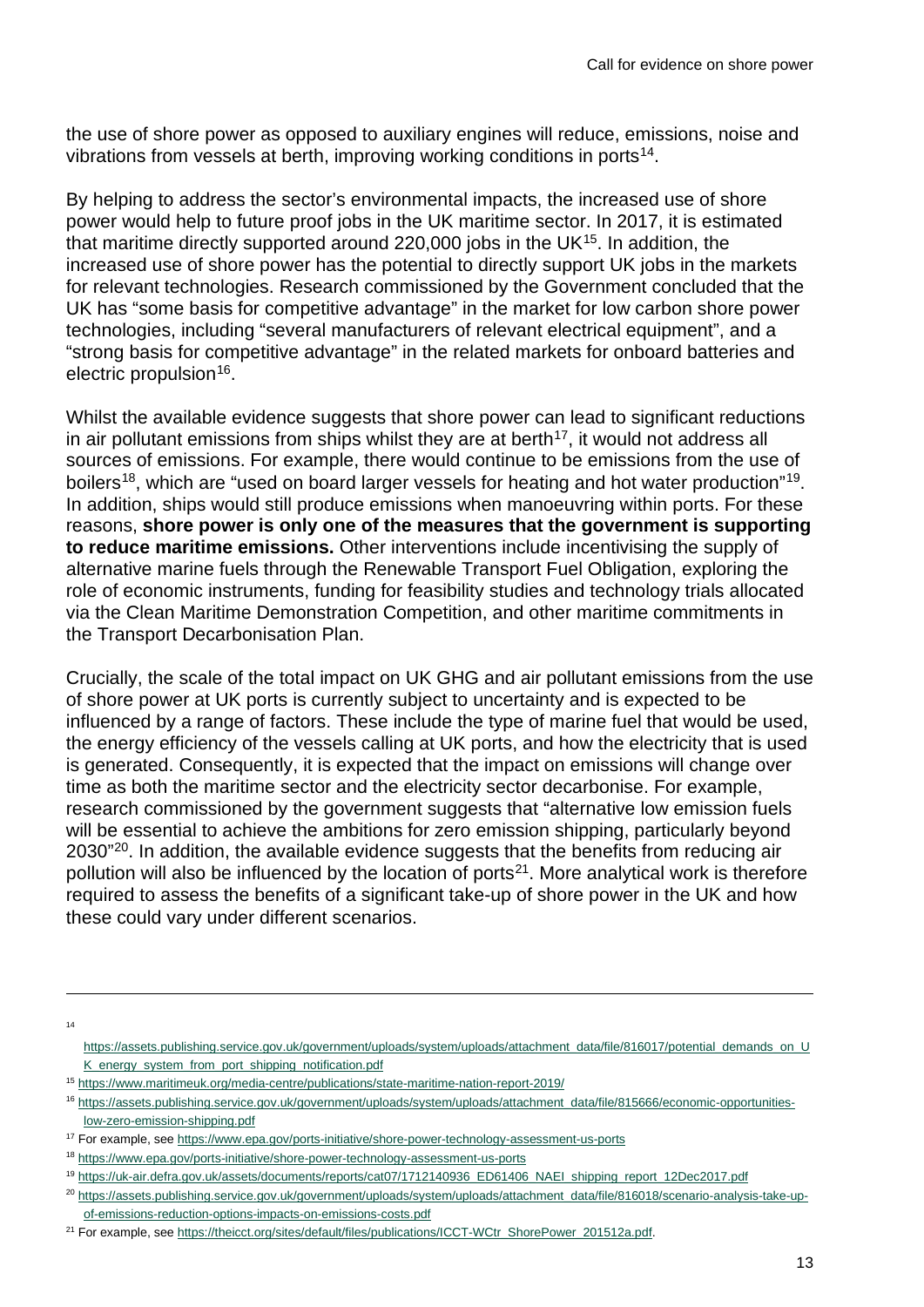the use of shore power as opposed to auxiliary engines will reduce, emissions, noise and vibrations from vessels at berth, improving working conditions in ports<sup>14</sup>.

By helping to address the sector's environmental impacts, the increased use of shore power would help to future proof jobs in the UK maritime sector. In 2017, it is estimated that maritime directly supported around 220,000 jobs in the UK[15.](#page-12-1) In addition, the increased use of shore power has the potential to directly support UK jobs in the markets for relevant technologies. Research commissioned by the Government concluded that the UK has "some basis for competitive advantage" in the market for low carbon shore power technologies, including "several manufacturers of relevant electrical equipment", and a "strong basis for competitive advantage" in the related markets for onboard batteries and electric propulsion<sup>16</sup>.

Whilst the available evidence suggests that shore power can lead to significant reductions in air pollutant emissions from ships whilst they are at berth<sup>[17](#page-12-3)</sup>, it would not address all sources of emissions. For example, there would continue to be emissions from the use of boilers<sup>[18](#page-12-4)</sup>, which are "used on board larger vessels for heating and hot water production"<sup>19</sup>. In addition, ships would still produce emissions when manoeuvring within ports. For these reasons, **shore power is only one of the measures that the government is supporting to reduce maritime emissions.** Other interventions include incentivising the supply of alternative marine fuels through the Renewable Transport Fuel Obligation, exploring the role of economic instruments, funding for feasibility studies and technology trials allocated via the Clean Maritime Demonstration Competition, and other maritime commitments in the Transport Decarbonisation Plan.

Crucially, the scale of the total impact on UK GHG and air pollutant emissions from the use of shore power at UK ports is currently subject to uncertainty and is expected to be influenced by a range of factors. These include the type of marine fuel that would be used, the energy efficiency of the vessels calling at UK ports, and how the electricity that is used is generated. Consequently, it is expected that the impact on emissions will change over time as both the maritime sector and the electricity sector decarbonise. For example, research commissioned by the government suggests that "alternative low emission fuels will be essential to achieve the ambitions for zero emission shipping, particularly beyond 2030<sup>"20</sup>. In addition, the available evidence suggests that the benefits from reducing air pollution will also be influenced by the location of ports<sup>21</sup>. More analytical work is therefore required to assess the benefits of a significant take-up of shore power in the UK and how these could vary under different scenarios.

<span id="page-12-0"></span>14

[https://assets.publishing.service.gov.uk/government/uploads/system/uploads/attachment\\_data/file/816017/potential\\_demands\\_on\\_U](https://assets.publishing.service.gov.uk/government/uploads/system/uploads/attachment_data/file/816017/potential_demands_on_UK_energy_system_from_port_shipping_notification.pdf) [K\\_energy\\_system\\_from\\_port\\_shipping\\_notification.pdf](https://assets.publishing.service.gov.uk/government/uploads/system/uploads/attachment_data/file/816017/potential_demands_on_UK_energy_system_from_port_shipping_notification.pdf)

<span id="page-12-1"></span><sup>15</sup> <https://www.maritimeuk.org/media-centre/publications/state-maritime-nation-report-2019/>

<span id="page-12-2"></span><sup>&</sup>lt;sup>16</sup> [https://assets.publishing.service.gov.uk/government/uploads/system/uploads/attachment\\_data/file/815666/economic-opportunities](https://assets.publishing.service.gov.uk/government/uploads/system/uploads/attachment_data/file/815666/economic-opportunities-low-zero-emission-shipping.pdf)[low-zero-emission-shipping.pdf](https://assets.publishing.service.gov.uk/government/uploads/system/uploads/attachment_data/file/815666/economic-opportunities-low-zero-emission-shipping.pdf)

<span id="page-12-3"></span><sup>17</sup> For example, se[e https://www.epa.gov/ports-initiative/shore-power-technology-assessment-us-ports](https://www.epa.gov/ports-initiative/shore-power-technology-assessment-us-ports)

<span id="page-12-4"></span><sup>18</sup> <https://www.epa.gov/ports-initiative/shore-power-technology-assessment-us-ports>

<span id="page-12-5"></span><sup>19</sup> [https://uk-air.defra.gov.uk/assets/documents/reports/cat07/1712140936\\_ED61406\\_NAEI\\_shipping\\_report\\_12Dec2017.pdf](https://uk-air.defra.gov.uk/assets/documents/reports/cat07/1712140936_ED61406_NAEI_shipping_report_12Dec2017.pdf)

<span id="page-12-6"></span><sup>20</sup> [https://assets.publishing.service.gov.uk/government/uploads/system/uploads/attachment\\_data/file/816018/scenario-analysis-take-up](https://assets.publishing.service.gov.uk/government/uploads/system/uploads/attachment_data/file/816018/scenario-analysis-take-up-of-emissions-reduction-options-impacts-on-emissions-costs.pdf)[of-emissions-reduction-options-impacts-on-emissions-costs.pdf](https://assets.publishing.service.gov.uk/government/uploads/system/uploads/attachment_data/file/816018/scenario-analysis-take-up-of-emissions-reduction-options-impacts-on-emissions-costs.pdf)

<span id="page-12-7"></span><sup>21</sup> For example, se[e https://theicct.org/sites/default/files/publications/ICCT-WCtr\\_ShorePower\\_201512a.pdf.](https://theicct.org/sites/default/files/publications/ICCT-WCtr_ShorePower_201512a.pdf)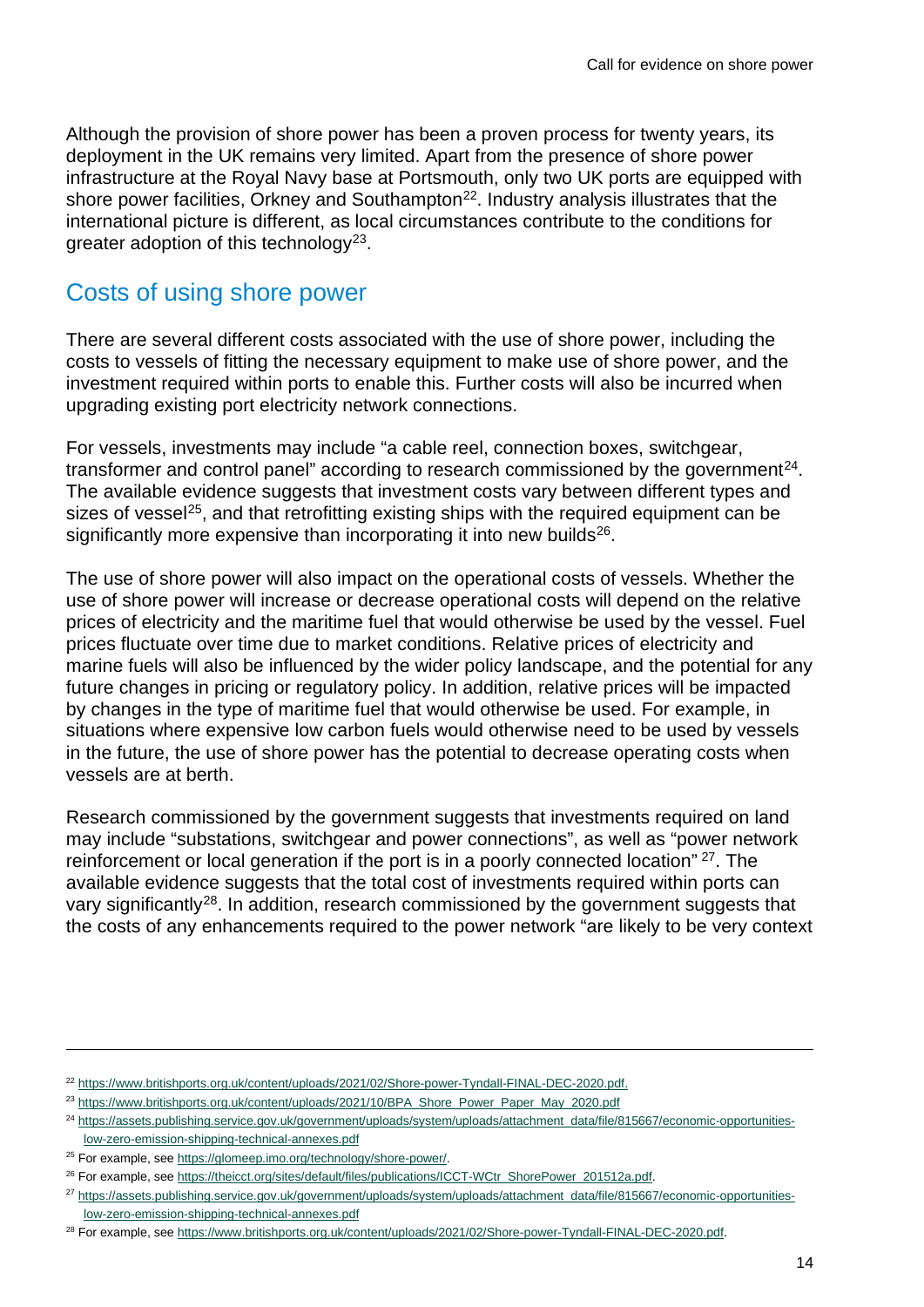Although the provision of shore power has been a proven process for twenty years, its deployment in the UK remains very limited. Apart from the presence of shore power infrastructure at the Royal Navy base at Portsmouth, only two UK ports are equipped with shore power facilities, Orkney and Southampton<sup>[22](#page-13-1)</sup>. Industry analysis illustrates that the international picture is different, as local circumstances contribute to the conditions for greater adoption of this technology<sup>[23](#page-13-2)</sup>.

### <span id="page-13-0"></span>Costs of using shore power

There are several different costs associated with the use of shore power, including the costs to vessels of fitting the necessary equipment to make use of shore power, and the investment required within ports to enable this. Further costs will also be incurred when upgrading existing port electricity network connections.

For vessels, investments may include "a cable reel, connection boxes, switchgear, transformer and control panel" according to research commissioned by the government $^{24}$  $^{24}$  $^{24}$ . The available evidence suggests that investment costs vary between different types and sizes of vessel<sup>[25](#page-13-4)</sup>, and that retrofitting existing ships with the required equipment can be significantly more expensive than incorporating it into new builds<sup>[26](#page-13-5)</sup>.

The use of shore power will also impact on the operational costs of vessels. Whether the use of shore power will increase or decrease operational costs will depend on the relative prices of electricity and the maritime fuel that would otherwise be used by the vessel. Fuel prices fluctuate over time due to market conditions. Relative prices of electricity and marine fuels will also be influenced by the wider policy landscape, and the potential for any future changes in pricing or regulatory policy. In addition, relative prices will be impacted by changes in the type of maritime fuel that would otherwise be used. For example, in situations where expensive low carbon fuels would otherwise need to be used by vessels in the future, the use of shore power has the potential to decrease operating costs when vessels are at berth.

Research commissioned by the government suggests that investments required on land may include "substations, switchgear and power connections", as well as "power network reinforcement or local generation if the port is in a poorly connected location" <sup>[27](#page-13-6)</sup>. The available evidence suggests that the total cost of investments required within ports can vary significantly<sup>[28](#page-13-7)</sup>. In addition, research commissioned by the government suggests that the costs of any enhancements required to the power network "are likely to be very context

<span id="page-13-2"></span><sup>23</sup> [https://www.britishports.org.uk/content/uploads/2021/10/BPA\\_Shore\\_Power\\_Paper\\_May\\_2020.pdf](https://www.britishports.org.uk/content/uploads/2021/10/BPA_Shore_Power_Paper_May_2020.pdf)

<span id="page-13-1"></span><sup>22</sup> [https://www.britishports.org.uk/content/uploads/2021/02/Shore-power-Tyndall-FINAL-DEC-2020.pdf.](https://www.britishports.org.uk/content/uploads/2021/02/Shore-power-Tyndall-FINAL-DEC-2020.pdf)

<span id="page-13-3"></span><sup>&</sup>lt;sup>24</sup> [https://assets.publishing.service.gov.uk/government/uploads/system/uploads/attachment\\_data/file/815667/economic-opportunities](https://assets.publishing.service.gov.uk/government/uploads/system/uploads/attachment_data/file/815667/economic-opportunities-low-zero-emission-shipping-technical-annexes.pdf)[low-zero-emission-shipping-technical-annexes.pdf](https://assets.publishing.service.gov.uk/government/uploads/system/uploads/attachment_data/file/815667/economic-opportunities-low-zero-emission-shipping-technical-annexes.pdf)

<span id="page-13-4"></span><sup>&</sup>lt;sup>25</sup> For example, se[e https://glomeep.imo.org/technology/shore-power/.](https://glomeep.imo.org/technology/shore-power/)

<span id="page-13-5"></span><sup>&</sup>lt;sup>26</sup> For example, see https://theicct.org/sites/default/files/publications/ICCT-WCtr\_ShorePower\_201512a.pdf.

<span id="page-13-6"></span><sup>&</sup>lt;sup>27</sup> [https://assets.publishing.service.gov.uk/government/uploads/system/uploads/attachment\\_data/file/815667/economic-opportunities](https://assets.publishing.service.gov.uk/government/uploads/system/uploads/attachment_data/file/815667/economic-opportunities-low-zero-emission-shipping-technical-annexes.pdf)[low-zero-emission-shipping-technical-annexes.pdf](https://assets.publishing.service.gov.uk/government/uploads/system/uploads/attachment_data/file/815667/economic-opportunities-low-zero-emission-shipping-technical-annexes.pdf)

<span id="page-13-7"></span><sup>&</sup>lt;sup>28</sup> For example, see https://www.britishports.org.uk/content/uploads/2021/02/Shore-power-Tyndall-FINAL-DEC-2020.pdf.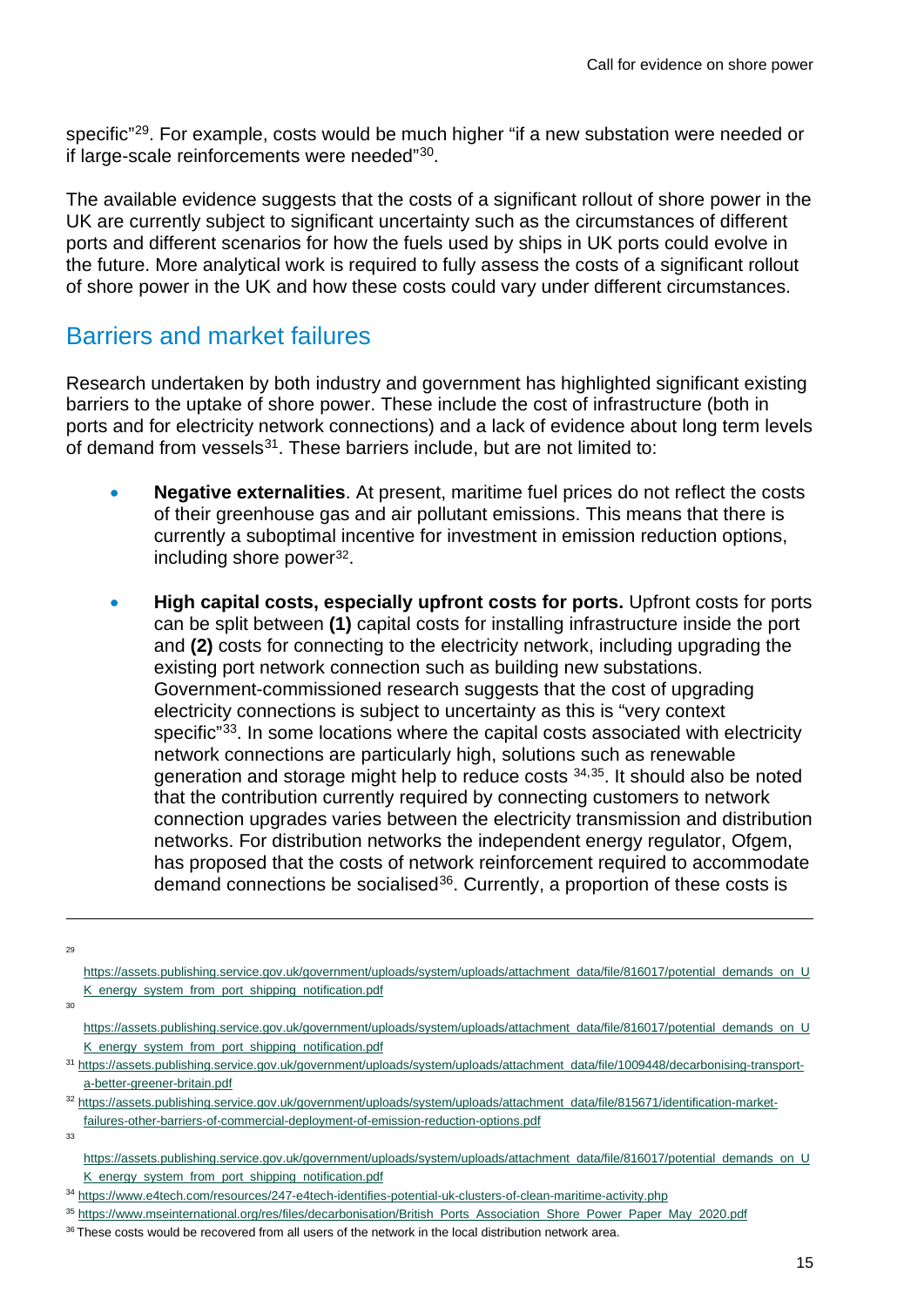specific<sup>"[29](#page-14-1)</sup>. For example, costs would be much higher "if a new substation were needed or if large-scale reinforcements were needed"[30](#page-14-2).

The available evidence suggests that the costs of a significant rollout of shore power in the UK are currently subject to significant uncertainty such as the circumstances of different ports and different scenarios for how the fuels used by ships in UK ports could evolve in the future. More analytical work is required to fully assess the costs of a significant rollout of shore power in the UK and how these costs could vary under different circumstances.

### <span id="page-14-0"></span>Barriers and market failures

Research undertaken by both industry and government has highlighted significant existing barriers to the uptake of shore power. These include the cost of infrastructure (both in ports and for electricity network connections) and a lack of evidence about long term levels of demand from vessels<sup>[31](#page-14-3)</sup>. These barriers include, but are not limited to:

- **Negative externalities**. At present, maritime fuel prices do not reflect the costs of their greenhouse gas and air pollutant emissions. This means that there is currently a suboptimal incentive for investment in emission reduction options, including shore power<sup>32</sup>.
- **High capital costs, especially upfront costs for ports.** Upfront costs for ports can be split between **(1)** capital costs for installing infrastructure inside the port and **(2)** costs for connecting to the electricity network, including upgrading the existing port network connection such as building new substations. Government-commissioned research suggests that the cost of upgrading electricity connections is subject to uncertainty as this is "very context specific<sup>"33</sup>. In some locations where the capital costs associated with electricity network connections are particularly high, solutions such as renewable generation and storage might help to reduce costs [34](#page-14-6),[35](#page-14-7). It should also be noted that the contribution currently required by connecting customers to network connection upgrades varies between the electricity transmission and distribution networks. For distribution networks the independent energy regulator, Ofgem, has proposed that the costs of network reinforcement required to accommodate demand connections be socialised<sup>[36](#page-14-8)</sup>. Currently, a proportion of these costs is

<span id="page-14-1"></span>29

[https://assets.publishing.service.gov.uk/government/uploads/system/uploads/attachment\\_data/file/816017/potential\\_demands\\_on\\_U](https://assets.publishing.service.gov.uk/government/uploads/system/uploads/attachment_data/file/816017/potential_demands_on_UK_energy_system_from_port_shipping_notification.pdf) [K\\_energy\\_system\\_from\\_port\\_shipping\\_notification.pdf](https://assets.publishing.service.gov.uk/government/uploads/system/uploads/attachment_data/file/816017/potential_demands_on_UK_energy_system_from_port_shipping_notification.pdf)

<span id="page-14-2"></span>30

<span id="page-14-5"></span>33

[https://assets.publishing.service.gov.uk/government/uploads/system/uploads/attachment\\_data/file/816017/potential\\_demands\\_on\\_U](https://assets.publishing.service.gov.uk/government/uploads/system/uploads/attachment_data/file/816017/potential_demands_on_UK_energy_system_from_port_shipping_notification.pdf) [K\\_energy\\_system\\_from\\_port\\_shipping\\_notification.pdf](https://assets.publishing.service.gov.uk/government/uploads/system/uploads/attachment_data/file/816017/potential_demands_on_UK_energy_system_from_port_shipping_notification.pdf)

<span id="page-14-3"></span><sup>31</sup> [https://assets.publishing.service.gov.uk/government/uploads/system/uploads/attachment\\_data/file/1009448/decarbonising-transport](https://assets.publishing.service.gov.uk/government/uploads/system/uploads/attachment_data/file/1009448/decarbonising-transport-a-better-greener-britain.pdf)[a-better-greener-britain.pdf](https://assets.publishing.service.gov.uk/government/uploads/system/uploads/attachment_data/file/1009448/decarbonising-transport-a-better-greener-britain.pdf)

<span id="page-14-4"></span><sup>32</sup> [https://assets.publishing.service.gov.uk/government/uploads/system/uploads/attachment\\_data/file/815671/identification-market](https://assets.publishing.service.gov.uk/government/uploads/system/uploads/attachment_data/file/815671/identification-market-failures-other-barriers-of-commercial-deployment-of-emission-reduction-options.pdf)[failures-other-barriers-of-commercial-deployment-of-emission-reduction-options.pdf](https://assets.publishing.service.gov.uk/government/uploads/system/uploads/attachment_data/file/815671/identification-market-failures-other-barriers-of-commercial-deployment-of-emission-reduction-options.pdf)

[https://assets.publishing.service.gov.uk/government/uploads/system/uploads/attachment\\_data/file/816017/potential\\_demands\\_on\\_U](https://assets.publishing.service.gov.uk/government/uploads/system/uploads/attachment_data/file/816017/potential_demands_on_UK_energy_system_from_port_shipping_notification.pdf) [K\\_energy\\_system\\_from\\_port\\_shipping\\_notification.pdf](https://assets.publishing.service.gov.uk/government/uploads/system/uploads/attachment_data/file/816017/potential_demands_on_UK_energy_system_from_port_shipping_notification.pdf)

<span id="page-14-6"></span><sup>34</sup> <https://www.e4tech.com/resources/247-e4tech-identifies-potential-uk-clusters-of-clean-maritime-activity.php>

<span id="page-14-7"></span><sup>35</sup> [https://www.mseinternational.org/res/files/decarbonisation/British\\_Ports\\_Association\\_Shore\\_Power\\_Paper\\_May\\_2020.pdf](https://www.mseinternational.org/res/files/decarbonisation/British_Ports_Association_Shore_Power_Paper_May_2020.pdf)

<span id="page-14-8"></span><sup>&</sup>lt;sup>36</sup> These costs would be recovered from all users of the network in the local distribution network area.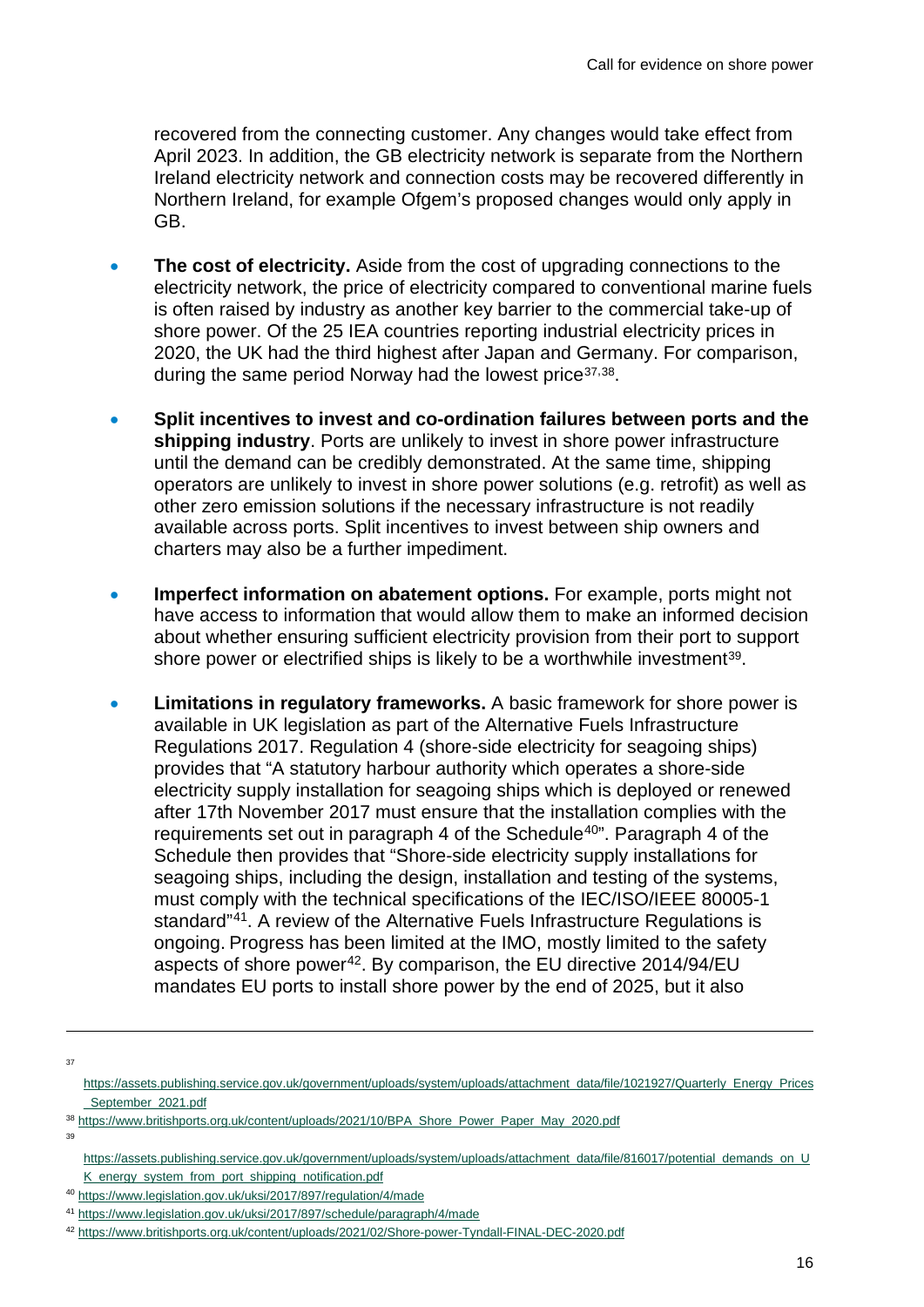recovered from the connecting customer. Any changes would take effect from April 2023. In addition, the GB electricity network is separate from the Northern Ireland electricity network and connection costs may be recovered differently in Northern Ireland, for example Ofgem's proposed changes would only apply in GB.

- **The cost of electricity.** Aside from the cost of upgrading connections to the electricity network, the price of electricity compared to conventional marine fuels is often raised by industry as another key barrier to the commercial take-up of shore power. Of the 25 IEA countries reporting industrial electricity prices in 2020, the UK had the third highest after Japan and Germany. For comparison, during the same period Norway had the lowest price<sup>[37](#page-15-0),[38](#page-15-1)</sup>.
- **Split incentives to invest and co-ordination failures between ports and the shipping industry**. Ports are unlikely to invest in shore power infrastructure until the demand can be credibly demonstrated. At the same time, shipping operators are unlikely to invest in shore power solutions (e.g. retrofit) as well as other zero emission solutions if the necessary infrastructure is not readily available across ports. Split incentives to invest between ship owners and charters may also be a further impediment.
- **Imperfect information on abatement options.** For example, ports might not have access to information that would allow them to make an informed decision about whether ensuring sufficient electricity provision from their port to support shore power or electrified ships is likely to be a worthwhile investment<sup>39</sup>.
- **Limitations in regulatory frameworks.** A basic framework for shore power is available in UK legislation as part of the Alternative Fuels Infrastructure Regulations 2017. Regulation 4 (shore-side electricity for seagoing ships) provides that "A statutory harbour authority which operates a shore-side electricity supply installation for seagoing ships which is deployed or renewed after 17th November 2017 must ensure that the installation complies with the requirements set out in paragraph 4 of the Schedule<sup>[40"](#page-15-3)</sup>. Paragraph 4 of the Schedule then provides that "Shore-side electricity supply installations for seagoing ships, including the design, installation and testing of the systems, must comply with the technical specifications of the IEC/ISO/IEEE 80005-1 standard["41](#page-15-4). A review of the Alternative Fuels Infrastructure Regulations is ongoing. Progress has been limited at the IMO, mostly limited to the safety aspects of shore power<sup>42</sup>. By comparison, the EU directive  $2014/94/EU$ mandates EU ports to install shore power by the end of 2025, but it also

<span id="page-15-2"></span><span id="page-15-1"></span>39

<span id="page-15-0"></span> $37$ 

[https://assets.publishing.service.gov.uk/government/uploads/system/uploads/attachment\\_data/file/1021927/Quarterly\\_Energy\\_Prices](https://assets.publishing.service.gov.uk/government/uploads/system/uploads/attachment_data/file/1021927/Quarterly_Energy_Prices_September_2021.pdf) September 2021.pdf

<sup>38</sup> [https://www.britishports.org.uk/content/uploads/2021/10/BPA\\_Shore\\_Power\\_Paper\\_May\\_2020.pdf](https://www.britishports.org.uk/content/uploads/2021/10/BPA_Shore_Power_Paper_May_2020.pdf)

[https://assets.publishing.service.gov.uk/government/uploads/system/uploads/attachment\\_data/file/816017/potential\\_demands\\_on\\_U](https://assets.publishing.service.gov.uk/government/uploads/system/uploads/attachment_data/file/816017/potential_demands_on_UK_energy_system_from_port_shipping_notification.pdf) [K\\_energy\\_system\\_from\\_port\\_shipping\\_notification.pdf](https://assets.publishing.service.gov.uk/government/uploads/system/uploads/attachment_data/file/816017/potential_demands_on_UK_energy_system_from_port_shipping_notification.pdf)

<span id="page-15-3"></span><sup>40</sup> <https://www.legislation.gov.uk/uksi/2017/897/regulation/4/made>

<span id="page-15-4"></span><sup>41</sup> <https://www.legislation.gov.uk/uksi/2017/897/schedule/paragraph/4/made>

<span id="page-15-5"></span><sup>42</sup> <https://www.britishports.org.uk/content/uploads/2021/02/Shore-power-Tyndall-FINAL-DEC-2020.pdf>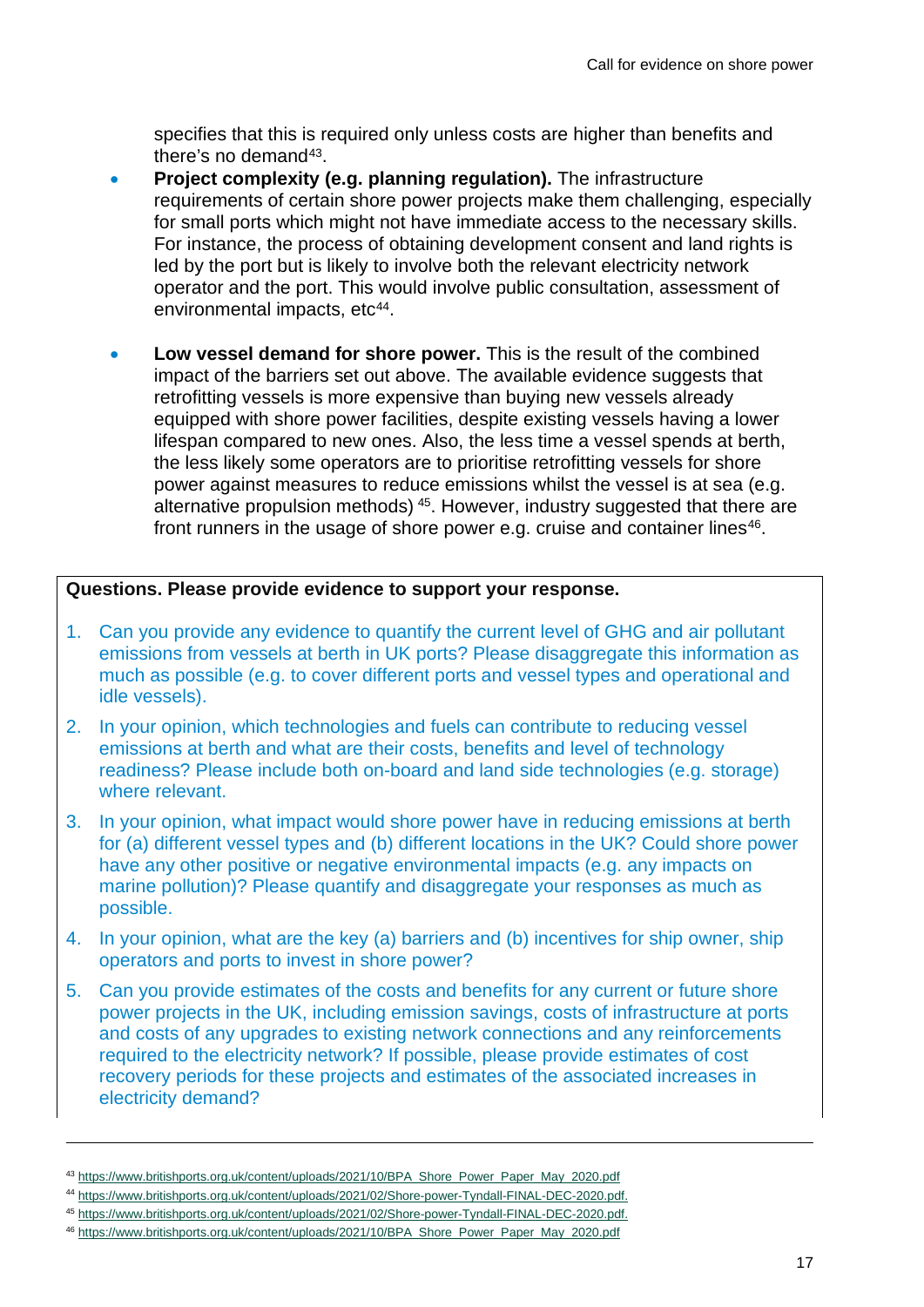specifies that this is required only unless costs are higher than benefits and there's no demand<sup>43</sup>.

- **Project complexity (e.g. planning regulation).** The infrastructure requirements of certain shore power projects make them challenging, especially for small ports which might not have immediate access to the necessary skills. For instance, the process of obtaining development consent and land rights is led by the port but is likely to involve both the relevant electricity network operator and the port. This would involve public consultation, assessment of environmental impacts. etc<sup>44</sup>.
- **Low vessel demand for shore power.** This is the result of the combined impact of the barriers set out above. The available evidence suggests that retrofitting vessels is more expensive than buying new vessels already equipped with shore power facilities, despite existing vessels having a lower lifespan compared to new ones. Also, the less time a vessel spends at berth, the less likely some operators are to prioritise retrofitting vessels for shore power against measures to reduce emissions whilst the vessel is at sea (e.g. alternative propulsion methods) [45.](#page-16-2) However, industry suggested that there are front runners in the usage of shore power e.g. cruise and container lines<sup>[46](#page-16-3)</sup>.

#### **Questions. Please provide evidence to support your response.**

- 1. Can you provide any evidence to quantify the current level of GHG and air pollutant emissions from vessels at berth in UK ports? Please disaggregate this information as much as possible (e.g. to cover different ports and vessel types and operational and idle vessels).
- 2. In your opinion, which technologies and fuels can contribute to reducing vessel emissions at berth and what are their costs, benefits and level of technology readiness? Please include both on-board and land side technologies (e.g. storage) where relevant.
- 3. In your opinion, what impact would shore power have in reducing emissions at berth for (a) different vessel types and (b) different locations in the UK? Could shore power have any other positive or negative environmental impacts (e.g. any impacts on marine pollution)? Please quantify and disaggregate your responses as much as possible.
- 4. In your opinion, what are the key (a) barriers and (b) incentives for ship owner, ship operators and ports to invest in shore power?
- 5. Can you provide estimates of the costs and benefits for any current or future shore power projects in the UK, including emission savings, costs of infrastructure at ports and costs of any upgrades to existing network connections and any reinforcements required to the electricity network? If possible, please provide estimates of cost recovery periods for these projects and estimates of the associated increases in electricity demand?

<span id="page-16-0"></span><sup>43</sup> [https://www.britishports.org.uk/content/uploads/2021/10/BPA\\_Shore\\_Power\\_Paper\\_May\\_2020.pdf](https://www.britishports.org.uk/content/uploads/2021/10/BPA_Shore_Power_Paper_May_2020.pdf)

<span id="page-16-1"></span><sup>44</sup> [https://www.britishports.org.uk/content/uploads/2021/02/Shore-power-Tyndall-FINAL-DEC-2020.pdf.](https://www.britishports.org.uk/content/uploads/2021/02/Shore-power-Tyndall-FINAL-DEC-2020.pdf)

<span id="page-16-2"></span><sup>45</sup> [https://www.britishports.org.uk/content/uploads/2021/02/Shore-power-Tyndall-FINAL-DEC-2020.pdf.](https://www.britishports.org.uk/content/uploads/2021/02/Shore-power-Tyndall-FINAL-DEC-2020.pdf)

<span id="page-16-3"></span><sup>46</sup> [https://www.britishports.org.uk/content/uploads/2021/10/BPA\\_Shore\\_Power\\_Paper\\_May\\_2020.pdf](https://www.britishports.org.uk/content/uploads/2021/10/BPA_Shore_Power_Paper_May_2020.pdf)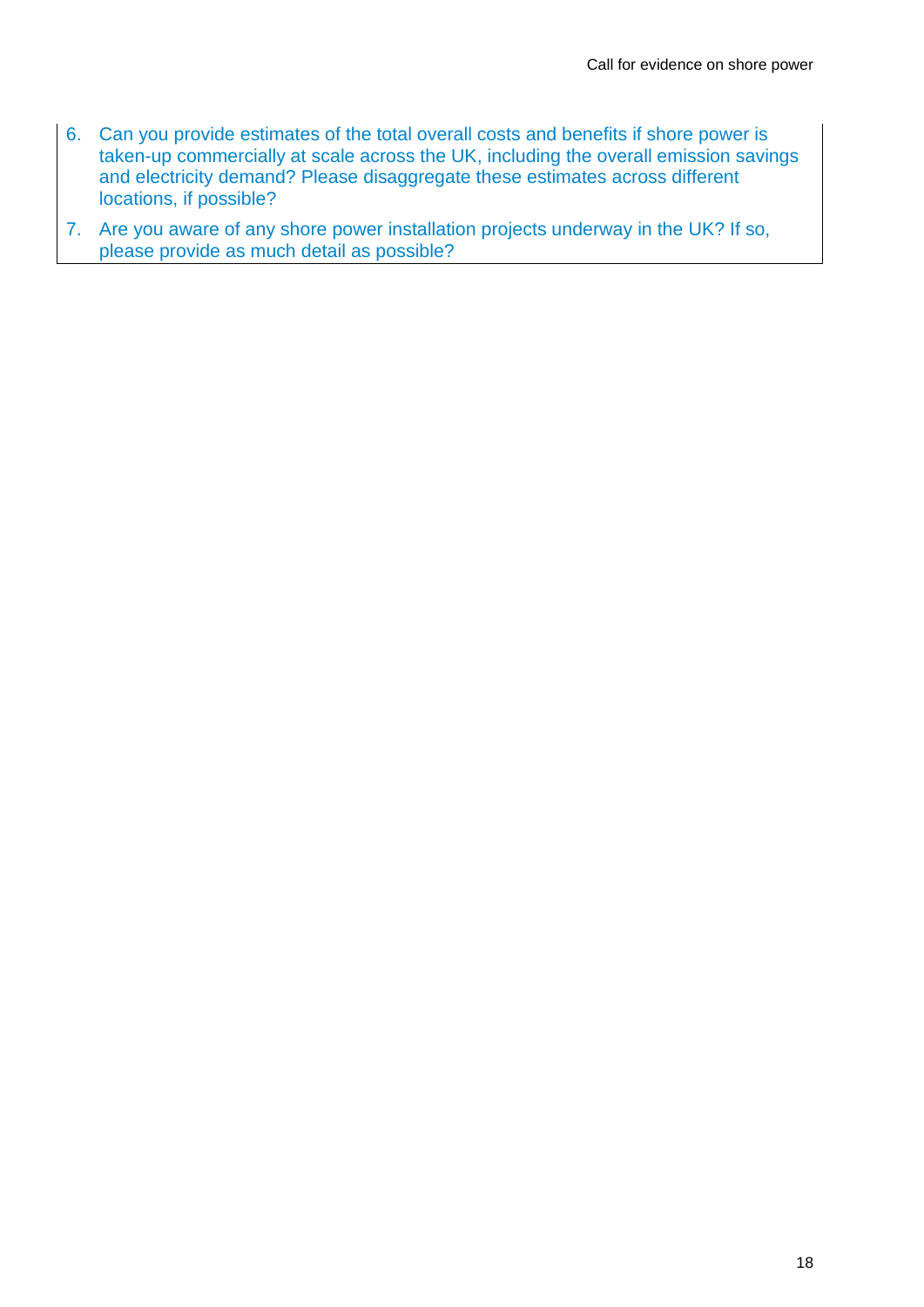- 6. Can you provide estimates of the total overall costs and benefits if shore power is taken-up commercially at scale across the UK, including the overall emission savings and electricity demand? Please disaggregate these estimates across different locations, if possible?
- 7. Are you aware of any shore power installation projects underway in the UK? If so, please provide as much detail as possible?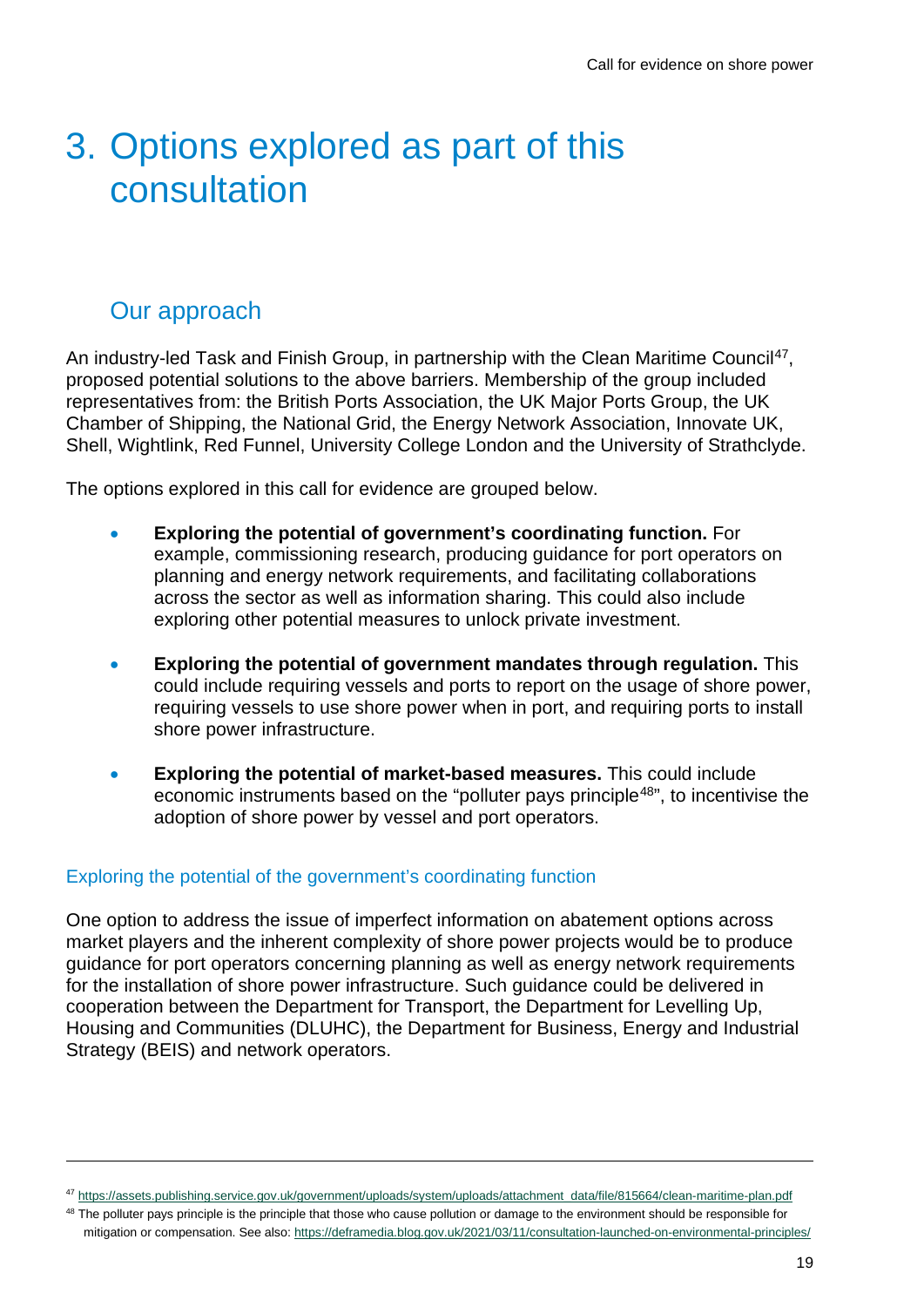## <span id="page-18-0"></span>3. Options explored as part of this consultation

### <span id="page-18-1"></span>Our approach

An industry-led Task and Finish Group, in partnership with the Clean Maritime Council<sup>[47](#page-18-2)</sup>, proposed potential solutions to the above barriers. Membership of the group included representatives from: the British Ports Association, the UK Major Ports Group, the UK Chamber of Shipping, the National Grid, the Energy Network Association, Innovate UK, Shell, Wightlink, Red Funnel, University College London and the University of Strathclyde.

The options explored in this call for evidence are grouped below.

- **Exploring the potential of government's coordinating function.** For example, commissioning research, producing guidance for port operators on planning and energy network requirements, and facilitating collaborations across the sector as well as information sharing. This could also include exploring other potential measures to unlock private investment.
- **Exploring the potential of government mandates through regulation.** This could include requiring vessels and ports to report on the usage of shore power, requiring vessels to use shore power when in port, and requiring ports to install shore power infrastructure.
- **Exploring the potential of market-based measures.** This could include economic instruments based on the "polluter pays principle<sup>[48](#page-18-3)"</sup>, to incentivise the adoption of shore power by vessel and port operators.

#### Exploring the potential of the government's coordinating function

One option to address the issue of imperfect information on abatement options across market players and the inherent complexity of shore power projects would be to produce guidance for port operators concerning planning as well as energy network requirements for the installation of shore power infrastructure. Such guidance could be delivered in cooperation between the Department for Transport, the Department for Levelling Up, Housing and Communities (DLUHC), the Department for Business, Energy and Industrial Strategy (BEIS) and network operators.

<span id="page-18-2"></span><sup>47</sup> [https://assets.publishing.service.gov.uk/government/uploads/system/uploads/attachment\\_data/file/815664/clean-maritime-plan.pdf](https://assets.publishing.service.gov.uk/government/uploads/system/uploads/attachment_data/file/815664/clean-maritime-plan.pdf)

<span id="page-18-3"></span><sup>&</sup>lt;sup>48</sup> The polluter pays principle is the principle that those who cause pollution or damage to the environment should be responsible for mitigation or compensation. See also[: https://deframedia.blog.gov.uk/2021/03/11/consultation-launched-on-environmental-principles/](https://deframedia.blog.gov.uk/2021/03/11/consultation-launched-on-environmental-principles/)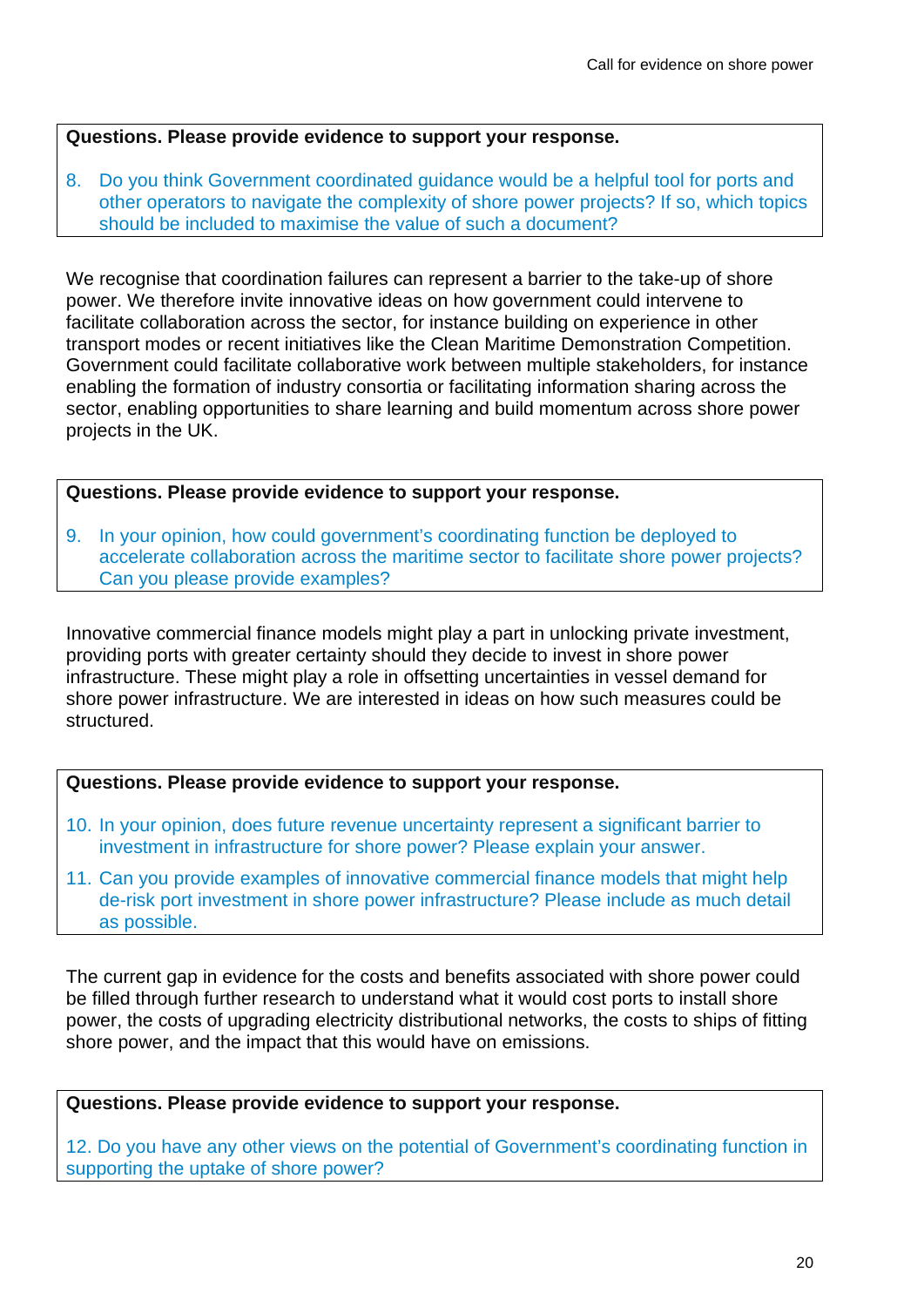#### **Questions. Please provide evidence to support your response.**

8. Do you think Government coordinated guidance would be a helpful tool for ports and other operators to navigate the complexity of shore power projects? If so, which topics should be included to maximise the value of such a document?

We recognise that coordination failures can represent a barrier to the take-up of shore power. We therefore invite innovative ideas on how government could intervene to facilitate collaboration across the sector, for instance building on experience in other transport modes or recent initiatives like the Clean Maritime Demonstration Competition. Government could facilitate collaborative work between multiple stakeholders, for instance enabling the formation of industry consortia or facilitating information sharing across the sector, enabling opportunities to share learning and build momentum across shore power projects in the UK.

#### **Questions. Please provide evidence to support your response.**

9. In your opinion, how could government's coordinating function be deployed to accelerate collaboration across the maritime sector to facilitate shore power projects? Can you please provide examples?

Innovative commercial finance models might play a part in unlocking private investment, providing ports with greater certainty should they decide to invest in shore power infrastructure. These might play a role in offsetting uncertainties in vessel demand for shore power infrastructure. We are interested in ideas on how such measures could be structured.

#### **Questions. Please provide evidence to support your response.**

- 10. In your opinion, does future revenue uncertainty represent a significant barrier to investment in infrastructure for shore power? Please explain your answer.
- 11. Can you provide examples of innovative commercial finance models that might help de-risk port investment in shore power infrastructure? Please include as much detail as possible.

The current gap in evidence for the costs and benefits associated with shore power could be filled through further research to understand what it would cost ports to install shore power, the costs of upgrading electricity distributional networks, the costs to ships of fitting shore power, and the impact that this would have on emissions.

#### **Questions. Please provide evidence to support your response.**

12. Do you have any other views on the potential of Government's coordinating function in supporting the uptake of shore power?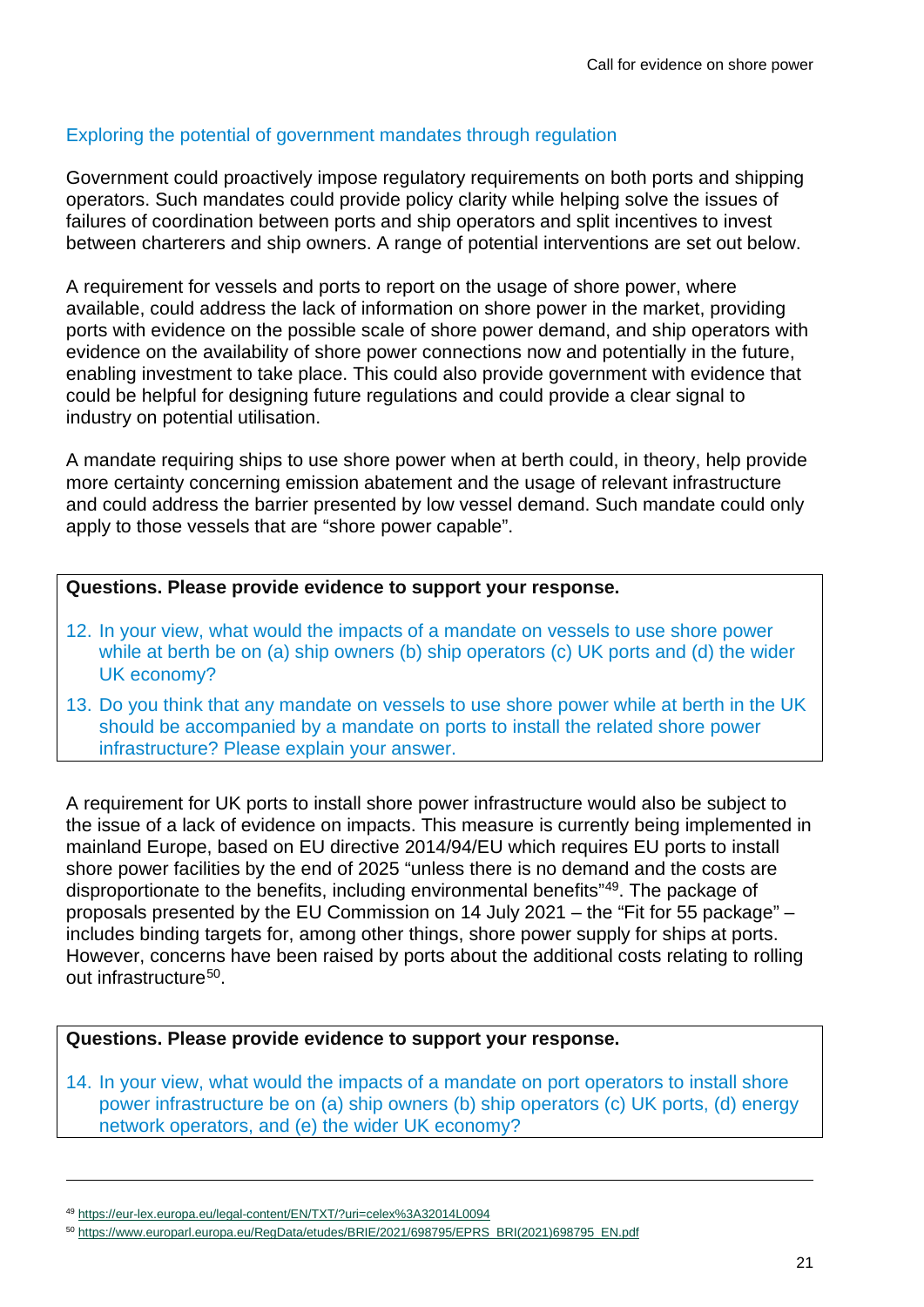#### Exploring the potential of government mandates through regulation

Government could proactively impose regulatory requirements on both ports and shipping operators. Such mandates could provide policy clarity while helping solve the issues of failures of coordination between ports and ship operators and split incentives to invest between charterers and ship owners. A range of potential interventions are set out below.

A requirement for vessels and ports to report on the usage of shore power, where available, could address the lack of information on shore power in the market, providing ports with evidence on the possible scale of shore power demand, and ship operators with evidence on the availability of shore power connections now and potentially in the future, enabling investment to take place. This could also provide government with evidence that could be helpful for designing future regulations and could provide a clear signal to industry on potential utilisation.

A mandate requiring ships to use shore power when at berth could, in theory, help provide more certainty concerning emission abatement and the usage of relevant infrastructure and could address the barrier presented by low vessel demand. Such mandate could only apply to those vessels that are "shore power capable".

#### **Questions. Please provide evidence to support your response.**

- 12. In your view, what would the impacts of a mandate on vessels to use shore power while at berth be on (a) ship owners (b) ship operators (c) UK ports and (d) the wider UK economy?
- 13. Do you think that any mandate on vessels to use shore power while at berth in the UK should be accompanied by a mandate on ports to install the related shore power infrastructure? Please explain your answer.

A requirement for UK ports to install shore power infrastructure would also be subject to the issue of a lack of evidence on impacts. This measure is currently being implemented in mainland Europe, based on EU directive 2014/94/EU which requires EU ports to install shore power facilities by the end of 2025 "unless there is no demand and the costs are disproportionate to the benefits, including environmental benefits"[49.](#page-20-0) The package of proposals presented by the EU Commission on 14 July 2021 – the "Fit for 55 package" – includes binding targets for, among other things, shore power supply for ships at ports. However, concerns have been raised by ports about the additional costs relating to rolling out infrastructure<sup>[50](#page-20-1)</sup>.

#### **Questions. Please provide evidence to support your response.**

14. In your view, what would the impacts of a mandate on port operators to install shore power infrastructure be on (a) ship owners (b) ship operators (c) UK ports, (d) energy network operators, and (e) the wider UK economy?

<span id="page-20-0"></span><sup>49</sup> <https://eur-lex.europa.eu/legal-content/EN/TXT/?uri=celex%3A32014L0094>

<span id="page-20-1"></span><sup>50</sup> [https://www.europarl.europa.eu/RegData/etudes/BRIE/2021/698795/EPRS\\_BRI\(2021\)698795\\_EN.pdf](https://www.europarl.europa.eu/RegData/etudes/BRIE/2021/698795/EPRS_BRI(2021)698795_EN.pdf)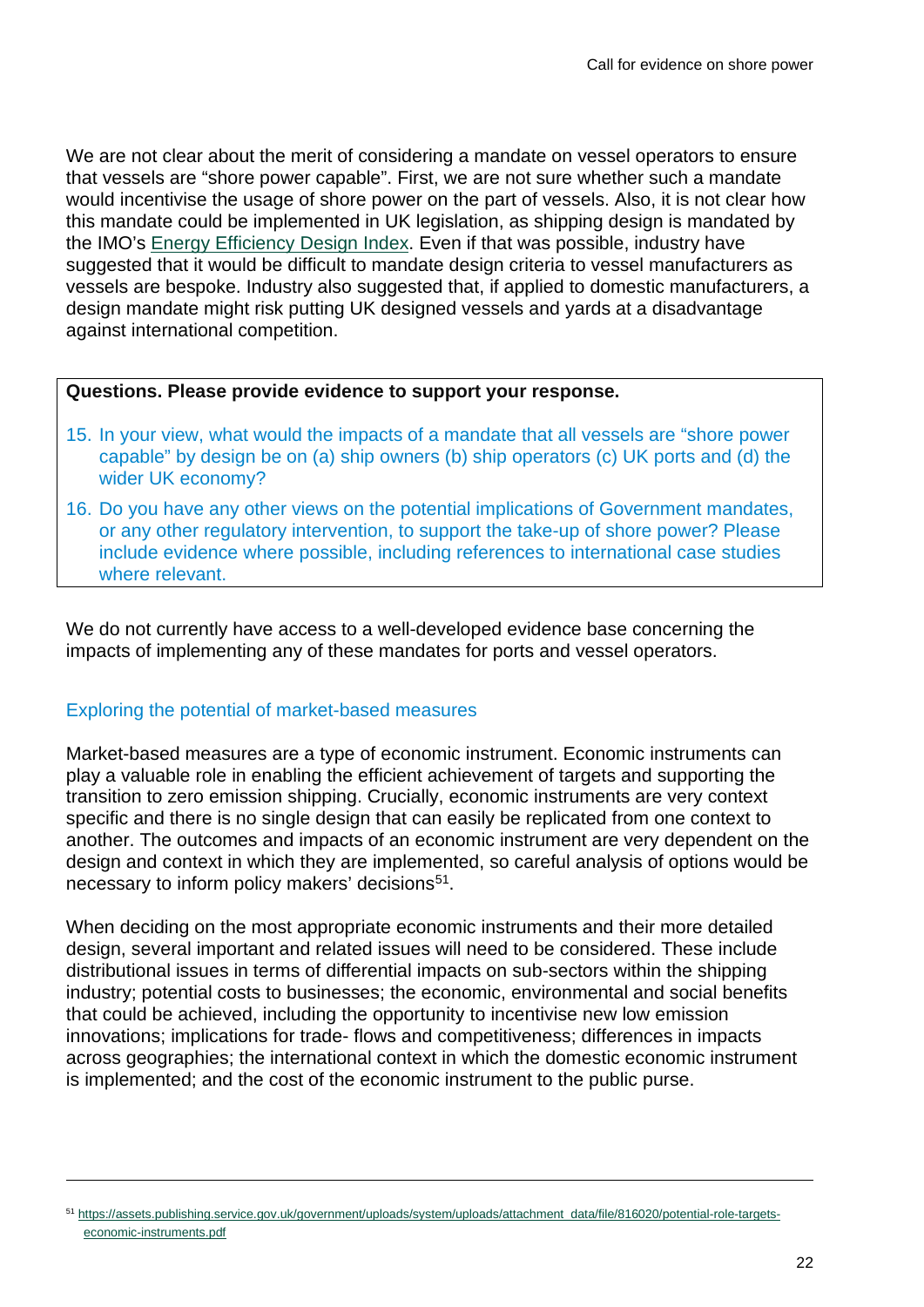We are not clear about the merit of considering a mandate on vessel operators to ensure that vessels are "shore power capable". First, we are not sure whether such a mandate would incentivise the usage of shore power on the part of vessels. Also, it is not clear how this mandate could be implemented in UK legislation, as shipping design is mandated by the IMO's [Energy Efficiency Design Index.](https://www.imo.org/en/OurWork/Environment/Pages/Technical-and-Operational-Measures.aspx) Even if that was possible, industry have suggested that it would be difficult to mandate design criteria to vessel manufacturers as vessels are bespoke. Industry also suggested that, if applied to domestic manufacturers, a design mandate might risk putting UK designed vessels and yards at a disadvantage against international competition.

#### **Questions. Please provide evidence to support your response.**

- 15. In your view, what would the impacts of a mandate that all vessels are "shore power capable" by design be on (a) ship owners (b) ship operators (c) UK ports and (d) the wider UK economy?
- 16. Do you have any other views on the potential implications of Government mandates, or any other regulatory intervention, to support the take-up of shore power? Please include evidence where possible, including references to international case studies where relevant.

We do not currently have access to a well-developed evidence base concerning the impacts of implementing any of these mandates for ports and vessel operators.

#### Exploring the potential of market-based measures

Market-based measures are a type of economic instrument. Economic instruments can play a valuable role in enabling the efficient achievement of targets and supporting the transition to zero emission shipping. Crucially, economic instruments are very context specific and there is no single design that can easily be replicated from one context to another. The outcomes and impacts of an economic instrument are very dependent on the design and context in which they are implemented, so careful analysis of options would be necessary to inform policy makers' decisions<sup>[51](#page-21-0)</sup>.

When deciding on the most appropriate economic instruments and their more detailed design, several important and related issues will need to be considered. These include distributional issues in terms of differential impacts on sub-sectors within the shipping industry; potential costs to businesses; the economic, environmental and social benefits that could be achieved, including the opportunity to incentivise new low emission innovations; implications for trade- flows and competitiveness; differences in impacts across geographies; the international context in which the domestic economic instrument is implemented; and the cost of the economic instrument to the public purse.

<span id="page-21-0"></span><sup>51</sup> [https://assets.publishing.service.gov.uk/government/uploads/system/uploads/attachment\\_data/file/816020/potential-role-targets](https://assets.publishing.service.gov.uk/government/uploads/system/uploads/attachment_data/file/816020/potential-role-targets-economic-instruments.pdf)[economic-instruments.pdf](https://assets.publishing.service.gov.uk/government/uploads/system/uploads/attachment_data/file/816020/potential-role-targets-economic-instruments.pdf)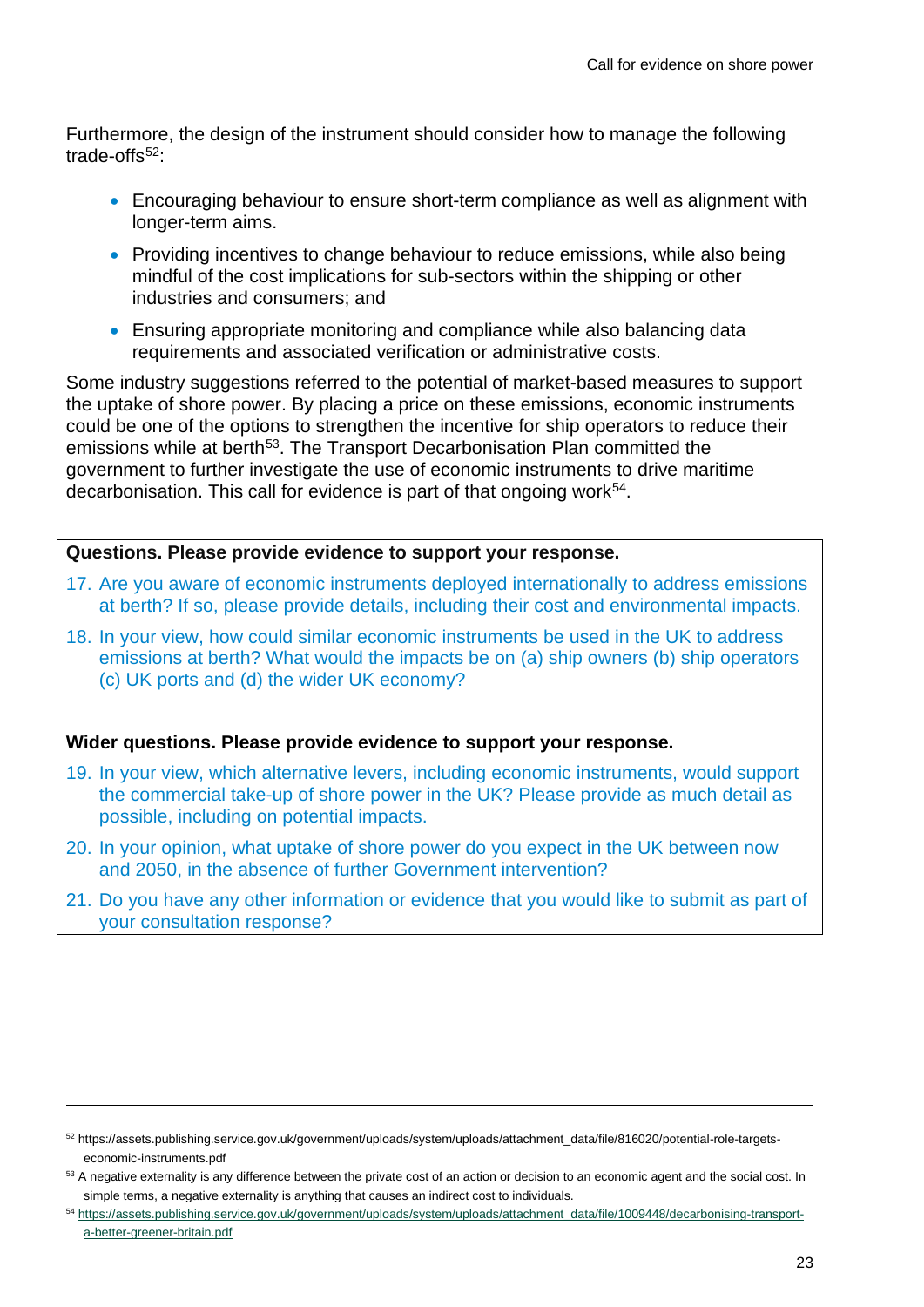Furthermore, the design of the instrument should consider how to manage the following trade-offs $52$ :

- Encouraging behaviour to ensure short-term compliance as well as alignment with longer-term aims.
- Providing incentives to change behaviour to reduce emissions, while also being mindful of the cost implications for sub-sectors within the shipping or other industries and consumers; and
- Ensuring appropriate monitoring and compliance while also balancing data requirements and associated verification or administrative costs.

Some industry suggestions referred to the potential of market-based measures to support the uptake of shore power. By placing a price on these emissions, economic instruments could be one of the options to strengthen the incentive for ship operators to reduce their emissions while at berth<sup>[53](#page-22-1)</sup>. The Transport Decarbonisation Plan committed the government to further investigate the use of economic instruments to drive maritime decarbonisation. This call for evidence is part of that ongoing work<sup>54</sup>.

#### **Questions. Please provide evidence to support your response.**

- 17. Are you aware of economic instruments deployed internationally to address emissions at berth? If so, please provide details, including their cost and environmental impacts.
- 18. In your view, how could similar economic instruments be used in the UK to address emissions at berth? What would the impacts be on (a) ship owners (b) ship operators (c) UK ports and (d) the wider UK economy?

#### **Wider questions. Please provide evidence to support your response.**

- 19. In your view, which alternative levers, including economic instruments, would support the commercial take-up of shore power in the UK? Please provide as much detail as possible, including on potential impacts.
- 20. In your opinion, what uptake of shore power do you expect in the UK between now and 2050, in the absence of further Government intervention?
- 21. Do you have any other information or evidence that you would like to submit as part of your consultation response?

<span id="page-22-0"></span><sup>52</sup> https://assets.publishing.service.gov.uk/government/uploads/system/uploads/attachment\_data/file/816020/potential-role-targetseconomic-instruments.pdf

<span id="page-22-1"></span><sup>&</sup>lt;sup>53</sup> A negative externality is any difference between the private cost of an action or decision to an economic agent and the social cost. In simple terms, a negative externality is anything that causes an indirect cost to individuals.

<span id="page-22-2"></span><sup>54</sup> [https://assets.publishing.service.gov.uk/government/uploads/system/uploads/attachment\\_data/file/1009448/decarbonising-transport](https://assets.publishing.service.gov.uk/government/uploads/system/uploads/attachment_data/file/1009448/decarbonising-transport-a-better-greener-britain.pdf)[a-better-greener-britain.pdf](https://assets.publishing.service.gov.uk/government/uploads/system/uploads/attachment_data/file/1009448/decarbonising-transport-a-better-greener-britain.pdf)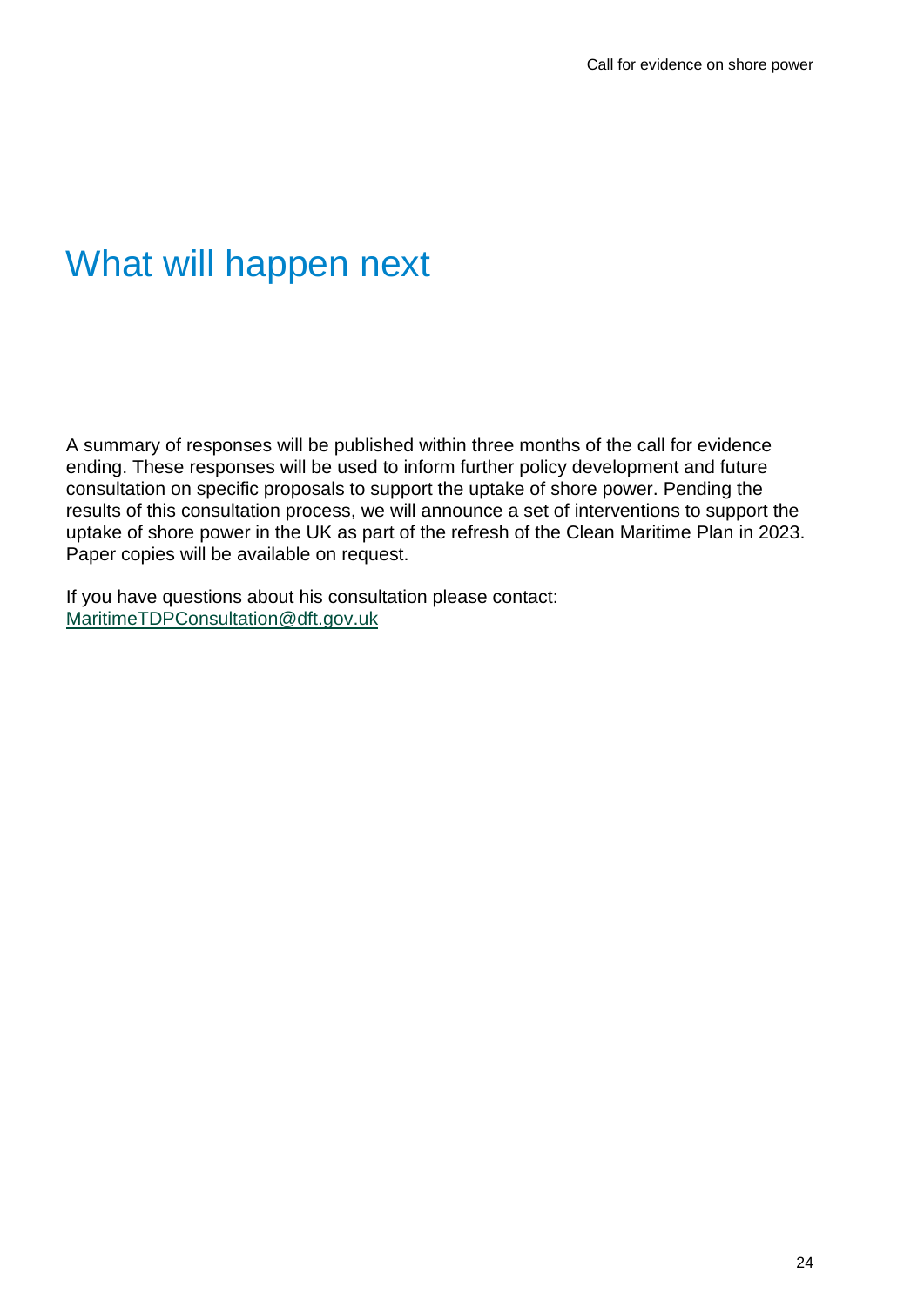## <span id="page-23-0"></span>What will happen next

A summary of responses will be published within three months of the call for evidence ending. These responses will be used to inform further policy development and future consultation on specific proposals to support the uptake of shore power. Pending the results of this consultation process, we will announce a set of interventions to support the uptake of shore power in the UK as part of the refresh of the Clean Maritime Plan in 2023. Paper copies will be available on request.

If you have questions about his consultation please contact: [MaritimeTDPConsultation@dft.gov.uk](mailto:MaritimeTDPConsultation@dft.gov.uk)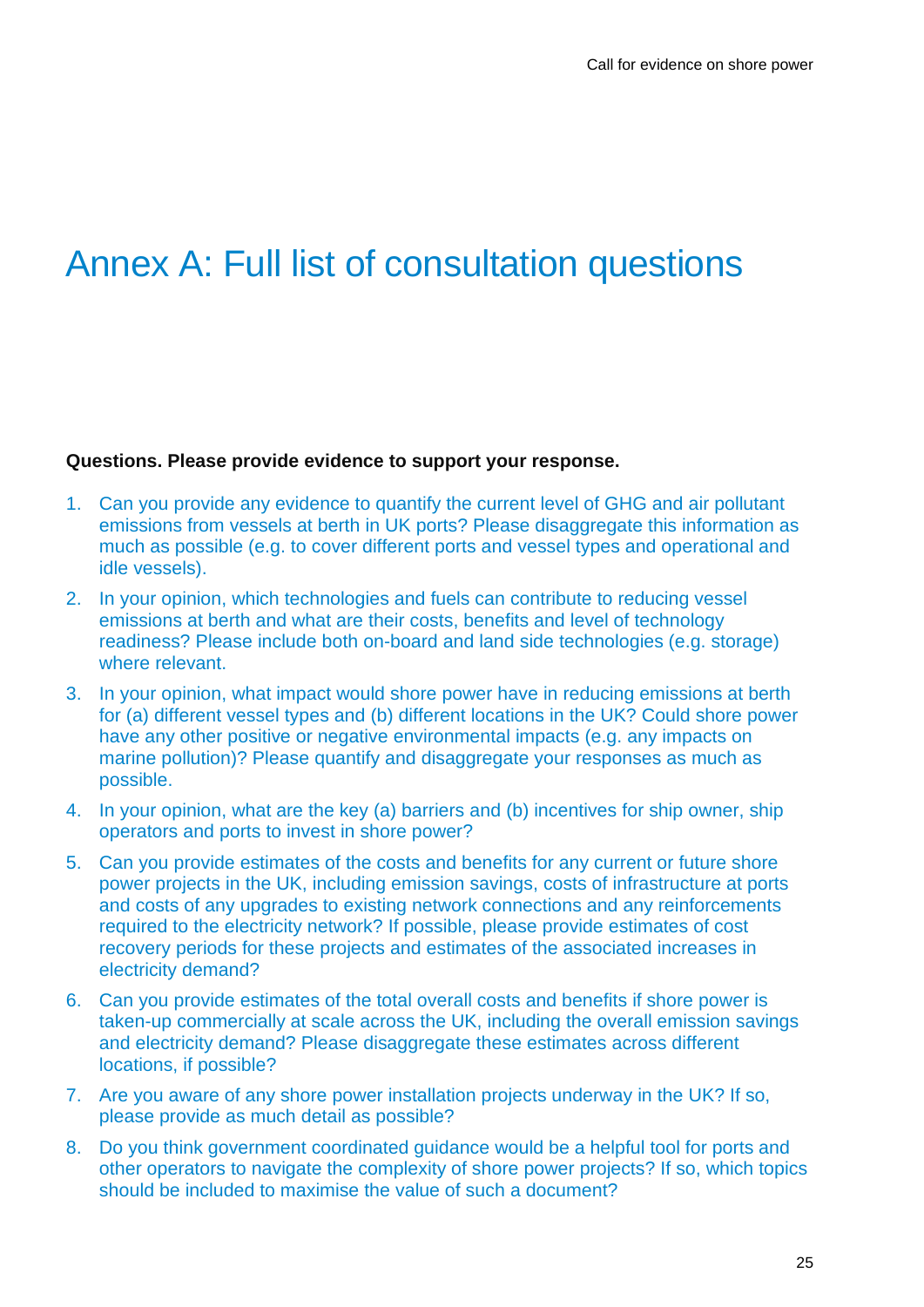## <span id="page-24-0"></span>Annex A: Full list of consultation questions

#### **Questions. Please provide evidence to support your response.**

- 1. Can you provide any evidence to quantify the current level of GHG and air pollutant emissions from vessels at berth in UK ports? Please disaggregate this information as much as possible (e.g. to cover different ports and vessel types and operational and idle vessels).
- 2. In your opinion, which technologies and fuels can contribute to reducing vessel emissions at berth and what are their costs, benefits and level of technology readiness? Please include both on-board and land side technologies (e.g. storage) where relevant.
- 3. In your opinion, what impact would shore power have in reducing emissions at berth for (a) different vessel types and (b) different locations in the UK? Could shore power have any other positive or negative environmental impacts (e.g. any impacts on marine pollution)? Please quantify and disaggregate your responses as much as possible.
- 4. In your opinion, what are the key (a) barriers and (b) incentives for ship owner, ship operators and ports to invest in shore power?
- 5. Can you provide estimates of the costs and benefits for any current or future shore power projects in the UK, including emission savings, costs of infrastructure at ports and costs of any upgrades to existing network connections and any reinforcements required to the electricity network? If possible, please provide estimates of cost recovery periods for these projects and estimates of the associated increases in electricity demand?
- 6. Can you provide estimates of the total overall costs and benefits if shore power is taken-up commercially at scale across the UK, including the overall emission savings and electricity demand? Please disaggregate these estimates across different locations, if possible?
- 7. Are you aware of any shore power installation projects underway in the UK? If so, please provide as much detail as possible?
- 8. Do you think government coordinated guidance would be a helpful tool for ports and other operators to navigate the complexity of shore power projects? If so, which topics should be included to maximise the value of such a document?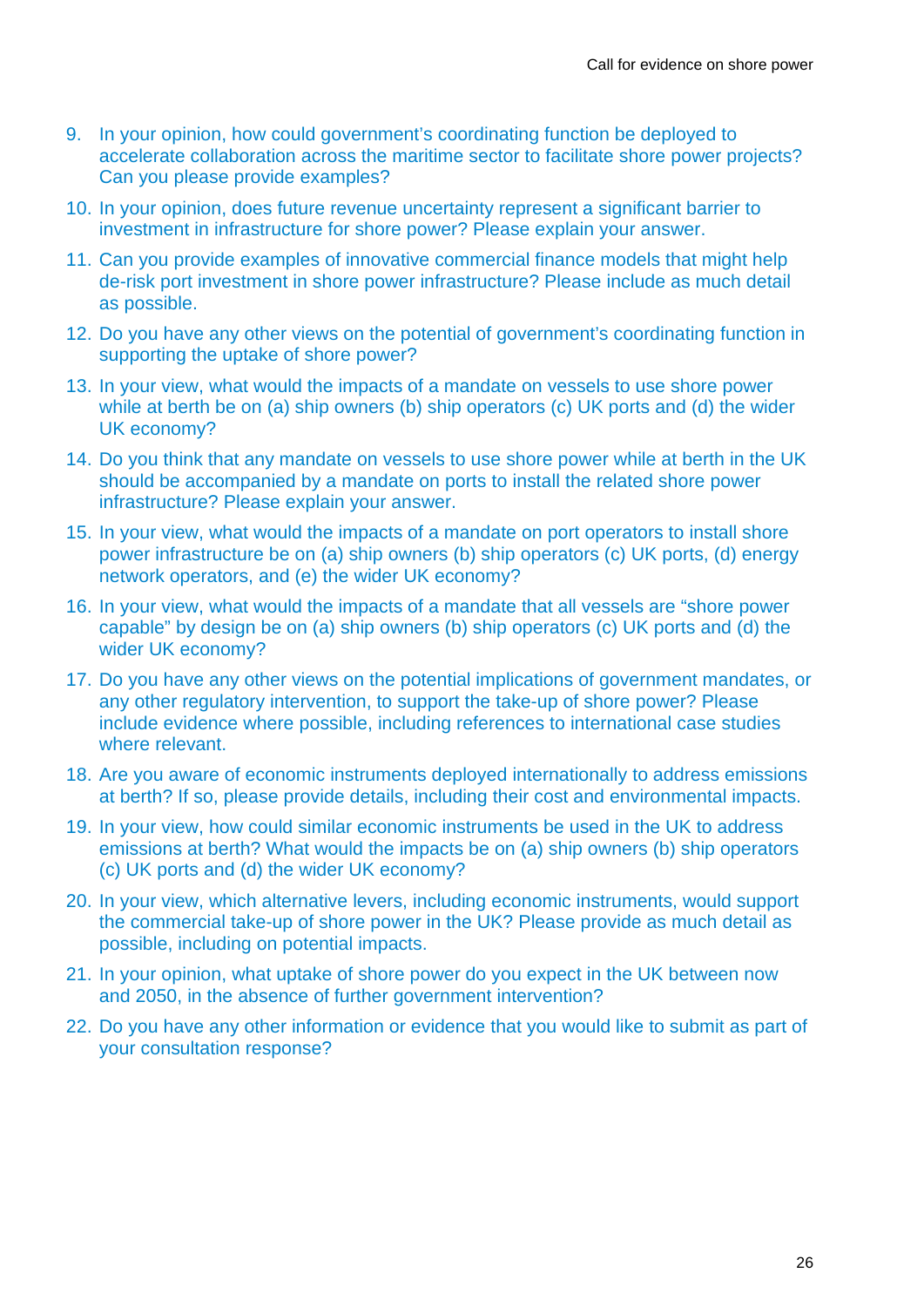- 9. In your opinion, how could government's coordinating function be deployed to accelerate collaboration across the maritime sector to facilitate shore power projects? Can you please provide examples?
- 10. In your opinion, does future revenue uncertainty represent a significant barrier to investment in infrastructure for shore power? Please explain your answer.
- 11. Can you provide examples of innovative commercial finance models that might help de-risk port investment in shore power infrastructure? Please include as much detail as possible.
- 12. Do you have any other views on the potential of government's coordinating function in supporting the uptake of shore power?
- 13. In your view, what would the impacts of a mandate on vessels to use shore power while at berth be on (a) ship owners (b) ship operators (c) UK ports and (d) the wider UK economy?
- 14. Do you think that any mandate on vessels to use shore power while at berth in the UK should be accompanied by a mandate on ports to install the related shore power infrastructure? Please explain your answer.
- 15. In your view, what would the impacts of a mandate on port operators to install shore power infrastructure be on (a) ship owners (b) ship operators (c) UK ports, (d) energy network operators, and (e) the wider UK economy?
- 16. In your view, what would the impacts of a mandate that all vessels are "shore power capable" by design be on (a) ship owners (b) ship operators (c) UK ports and (d) the wider UK economy?
- 17. Do you have any other views on the potential implications of government mandates, or any other regulatory intervention, to support the take-up of shore power? Please include evidence where possible, including references to international case studies where relevant.
- 18. Are you aware of economic instruments deployed internationally to address emissions at berth? If so, please provide details, including their cost and environmental impacts.
- 19. In your view, how could similar economic instruments be used in the UK to address emissions at berth? What would the impacts be on (a) ship owners (b) ship operators (c) UK ports and (d) the wider UK economy?
- 20. In your view, which alternative levers, including economic instruments, would support the commercial take-up of shore power in the UK? Please provide as much detail as possible, including on potential impacts.
- 21. In your opinion, what uptake of shore power do you expect in the UK between now and 2050, in the absence of further government intervention?
- 22. Do you have any other information or evidence that you would like to submit as part of your consultation response?